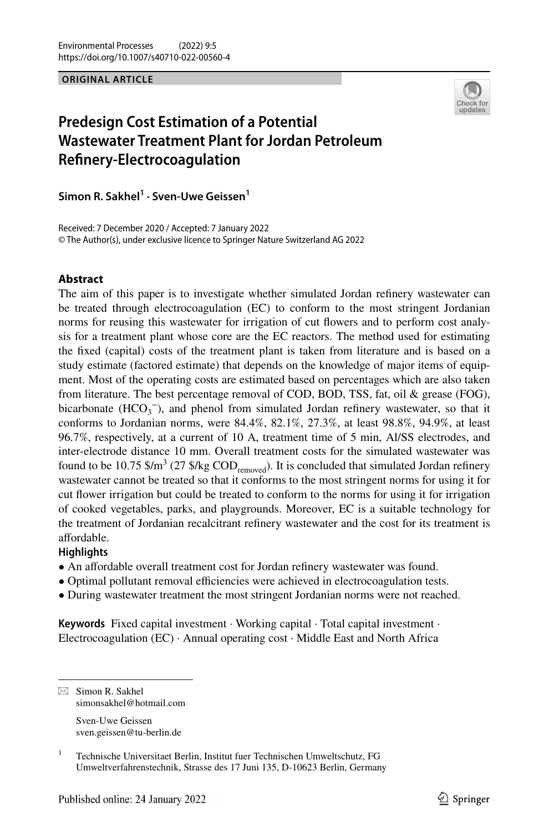#### **ORIGINAL ARTICLE**



# **Predesign Cost Estimation of a Potential Wastewater Treatment Plant for Jordan Petroleum Refnery-Electrocoagulation**

**Simon R. Sakhel1 · Sven‑Uwe Geissen1**

Received: 7 December 2020 / Accepted: 7 January 2022 © The Author(s), under exclusive licence to Springer Nature Switzerland AG 2022

#### **Abstract**

The aim of this paper is to investigate whether simulated Jordan refnery wastewater can be treated through electrocoagulation (EC) to conform to the most stringent Jordanian norms for reusing this wastewater for irrigation of cut fowers and to perform cost analysis for a treatment plant whose core are the EC reactors. The method used for estimating the fxed (capital) costs of the treatment plant is taken from literature and is based on a study estimate (factored estimate) that depends on the knowledge of major items of equipment. Most of the operating costs are estimated based on percentages which are also taken from literature. The best percentage removal of COD, BOD, TSS, fat, oil  $\&$  grease (FOG), bicarbonate  $(HCO_3^-)$ , and phenol from simulated Jordan refinery wastewater, so that it conforms to Jordanian norms, were 84.4%, 82.1%, 27.3%, at least 98.8%, 94.9%, at least 96.7%, respectively, at a current of 10 A, treatment time of 5 min, Al/SS electrodes, and inter-electrode distance 10 mm. Overall treatment costs for the simulated wastewater was found to be 10.75 \$/m<sup>3</sup> (27 \$/kg  $\text{COD}_{\text{removed}}$ ). It is concluded that simulated Jordan refinery wastewater cannot be treated so that it conforms to the most stringent norms for using it for cut fower irrigation but could be treated to conform to the norms for using it for irrigation of cooked vegetables, parks, and playgrounds. Moreover, EC is a suitable technology for the treatment of Jordanian recalcitrant refnery wastewater and the cost for its treatment is affordable.

### **Highlights**

- An afordable overall treatment cost for Jordan refnery wastewater was found.
- Optimal pollutant removal efficiencies were achieved in electrocoagulation tests.
- During wastewater treatment the most stringent Jordanian norms were not reached.

**Keywords** Fixed capital investment · Working capital · Total capital investment · Electrocoagulation (EC) · Annual operating cost · Middle East and North Africa

sven.geissen@tu-berlin.de

 $\boxtimes$  Simon R. Sakhel simonsakhel@hotmail.com Sven-Uwe Geissen

<sup>&</sup>lt;sup>1</sup> Technische Universitaet Berlin, Institut fuer Technischen Umweltschutz, FG Umweltverfahrenstechnik, Strasse des 17 Juni 135, D-10623 Berlin, Germany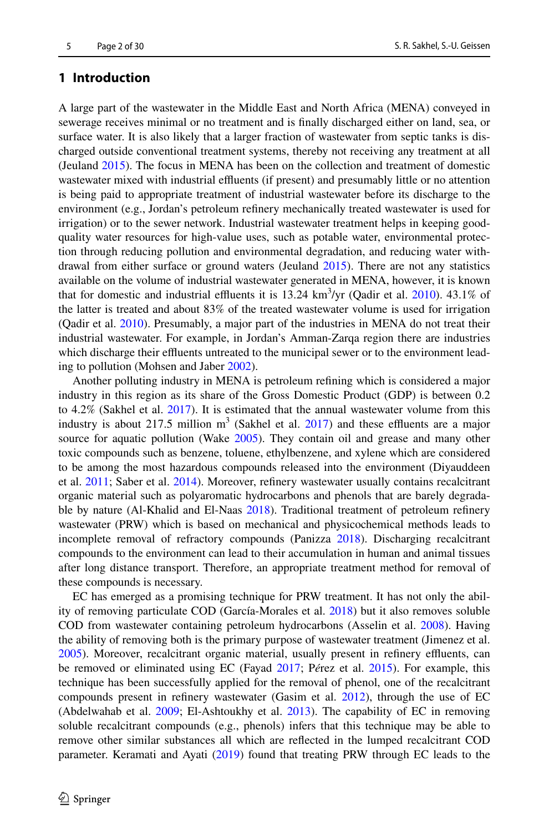# **1 Introduction**

A large part of the wastewater in the Middle East and North Africa (MENA) conveyed in sewerage receives minimal or no treatment and is fnally discharged either on land, sea, or surface water. It is also likely that a larger fraction of wastewater from septic tanks is discharged outside conventional treatment systems, thereby not receiving any treatment at all (Jeuland [2015\)](#page-27-0). The focus in MENA has been on the collection and treatment of domestic wastewater mixed with industrial effluents (if present) and presumably little or no attention is being paid to appropriate treatment of industrial wastewater before its discharge to the environment (e.g., Jordan's petroleum refnery mechanically treated wastewater is used for irrigation) or to the sewer network. Industrial wastewater treatment helps in keeping goodquality water resources for high-value uses, such as potable water, environmental protection through reducing pollution and environmental degradation, and reducing water withdrawal from either surface or ground waters (Jeuland [2015\)](#page-27-0). There are not any statistics available on the volume of industrial wastewater generated in MENA, however, it is known that for domestic and industrial effluents it is  $13.24 \text{ km}^3/\text{yr}$  (Qadir et al. [2010\)](#page-28-0).  $43.1\%$  of the latter is treated and about 83% of the treated wastewater volume is used for irrigation (Qadir et al. [2010\)](#page-28-0). Presumably, a major part of the industries in MENA do not treat their industrial wastewater. For example, in Jordan's Amman-Zarqa region there are industries which discharge their effluents untreated to the municipal sewer or to the environment leading to pollution (Mohsen and Jaber [2002](#page-28-1)).

Another polluting industry in MENA is petroleum refning which is considered a major industry in this region as its share of the Gross Domestic Product (GDP) is between 0.2 to 4.2% (Sakhel et al. [2017](#page-28-2)). It is estimated that the annual wastewater volume from this industry is about 217.5 million  $m^3$  (Sakhel et al. [2017](#page-28-2)) and these effluents are a major source for aquatic pollution (Wake [2005\)](#page-29-0). They contain oil and grease and many other toxic compounds such as benzene, toluene, ethylbenzene, and xylene which are considered to be among the most hazardous compounds released into the environment (Diyauddeen et al. [2011](#page-26-0); Saber et al. [2014\)](#page-28-3). Moreover, refnery wastewater usually contains recalcitrant organic material such as polyaromatic hydrocarbons and phenols that are barely degradable by nature (Al-Khalid and El-Naas [2018](#page-25-0)). Traditional treatment of petroleum refnery wastewater (PRW) which is based on mechanical and physicochemical methods leads to incomplete removal of refractory compounds (Panizza [2018\)](#page-28-4). Discharging recalcitrant compounds to the environment can lead to their accumulation in human and animal tissues after long distance transport. Therefore, an appropriate treatment method for removal of these compounds is necessary.

EC has emerged as a promising technique for PRW treatment. It has not only the ability of removing particulate COD (García-Morales et al. [2018\)](#page-26-1) but it also removes soluble COD from wastewater containing petroleum hydrocarbons (Asselin et al. [2008\)](#page-25-1). Having the ability of removing both is the primary purpose of wastewater treatment (Jimenez et al. [2005\)](#page-27-1). Moreover, recalcitrant organic material, usually present in refinery effluents, can be removed or eliminated using EC (Fayad [2017;](#page-26-2) P*é*rez et al. [2015\)](#page-28-5). For example, this technique has been successfully applied for the removal of phenol, one of the recalcitrant compounds present in refnery wastewater (Gasim et al. [2012\)](#page-26-3), through the use of EC (Abdelwahab et al. [2009;](#page-25-2) El-Ashtoukhy et al. [2013\)](#page-26-4). The capability of EC in removing soluble recalcitrant compounds (e.g., phenols) infers that this technique may be able to remove other similar substances all which are refected in the lumped recalcitrant COD parameter. Keramati and Ayati [\(2019](#page-27-2)) found that treating PRW through EC leads to the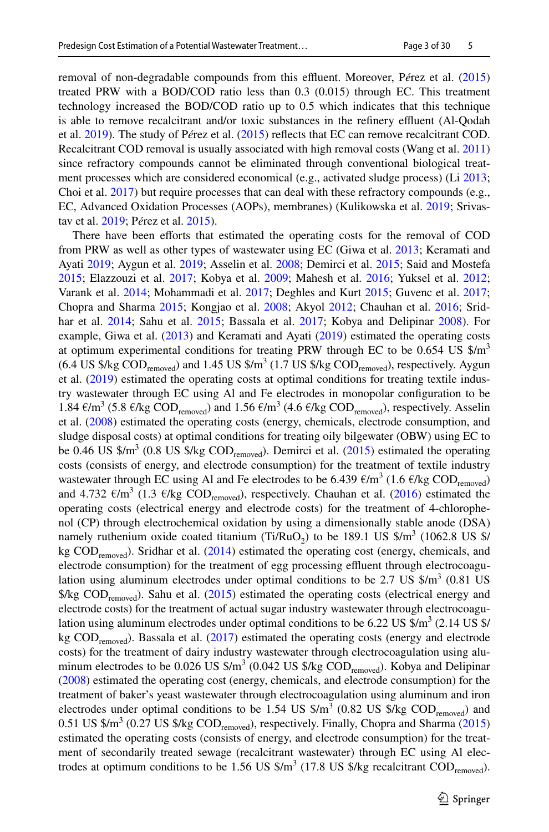removal of non-degradable compounds from this effluent. Moreover, Pérez et al. [\(2015](#page-28-5)) treated PRW with a BOD/COD ratio less than 0.3 (0.015) through EC. This treatment technology increased the BOD/COD ratio up to 0.5 which indicates that this technique is able to remove recalcitrant and/or toxic substances in the refnery efuent (Al-Qodah et al. [2019\)](#page-25-3). The study of P*é*rez et al. [\(2015](#page-28-5)) refects that EC can remove recalcitrant COD. Recalcitrant COD removal is usually associated with high removal costs (Wang et al. [2011](#page-29-1)) since refractory compounds cannot be eliminated through conventional biological treat-ment processes which are considered economical (e.g., activated sludge process) (Li [2013;](#page-27-3) Choi et al. [2017](#page-26-5)) but require processes that can deal with these refractory compounds (e.g., EC, Advanced Oxidation Processes (AOPs), membranes) (Kulikowska et al. [2019](#page-27-4); Srivastav et al. [2019](#page-28-6); P*é*rez et al. [2015\)](#page-28-5).

There have been efforts that estimated the operating costs for the removal of COD from PRW as well as other types of wastewater using EC (Giwa et al. [2013;](#page-26-6) Keramati and Ayati [2019;](#page-27-2) Aygun et al. [2019;](#page-25-4) Asselin et al. [2008](#page-25-1); Demirci et al. [2015](#page-26-7); Said and Mostefa [2015;](#page-28-7) Elazzouzi et al. [2017;](#page-26-8) Kobya et al. [2009;](#page-27-5) Mahesh et al. [2016](#page-27-6); Yuksel et al. [2012](#page-29-2); Varank et al. [2014;](#page-29-3) Mohammadi et al. [2017;](#page-27-7) Deghles and Kurt [2015](#page-26-9); Guvenc et al. [2017;](#page-27-8) Chopra and Sharma [2015;](#page-26-10) Kongjao et al. [2008;](#page-27-9) Akyol [2012](#page-25-5); Chauhan et al. [2016](#page-26-11); Srid-har et al. [2014](#page-28-8); Sahu et al. [2015](#page-28-9); Bassala et al. [2017;](#page-25-6) Kobya and Delipinar [2008](#page-27-10)). For example, Giwa et al.  $(2013)$  $(2013)$  and Keramati and Ayati  $(2019)$  $(2019)$  estimated the operating costs at optimum experimental conditions for treating PRW through EC to be 0.654 US  $\frac{\text{m}}{\text{s}}$  $(6.4 \text{ US }$  \$/kg COD<sub>removed</sub>) and 1.45 US \$/m<sup>3</sup> (1.7 US \$/kg COD<sub>removed</sub>), respectively. Aygun et al. ([2019\)](#page-25-4) estimated the operating costs at optimal conditions for treating textile industry wastewater through EC using Al and Fe electrodes in monopolar confguration to be 1.84  $\epsilon/m^3$  (5.8  $\epsilon$ /kg COD<sub>removed</sub>) and 1.56  $\epsilon/m^3$  (4.6  $\epsilon$ /kg COD<sub>removed</sub>), respectively. Asselin et al. ([2008\)](#page-25-1) estimated the operating costs (energy, chemicals, electrode consumption, and sludge disposal costs) at optimal conditions for treating oily bilgewater (OBW) using EC to be 0.46 US  $\gamma_{\text{max}}^3$  (0.8 US  $\gamma_{\text{max}}$  COD<sub>removed</sub>). Demirci et al. ([2015\)](#page-26-7) estimated the operating costs (consists of energy, and electrode consumption) for the treatment of textile industry wastewater through EC using Al and Fe electrodes to be 6.439  $\epsilon/m^3$  (1.6  $\epsilon$ /kg COD<sub>removed</sub>) and 4.732  $\epsilon/m^3$  (1.3  $\epsilon$ /kg COD<sub>removed</sub>), respectively. Chauhan et al. [\(2016](#page-26-11)) estimated the operating costs (electrical energy and electrode costs) for the treatment of 4-chlorophenol (CP) through electrochemical oxidation by using a dimensionally stable anode (DSA) namely ruthenium oxide coated titanium (Ti/RuO<sub>2</sub>) to be 189.1 US  $\frac{\text{m}}{2}$  (1062.8 US  $\frac{\text{s}}{4}$ ) kg COD<sub>removed</sub>). Sridhar et al. [\(2014](#page-28-8)) estimated the operating cost (energy, chemicals, and electrode consumption) for the treatment of egg processing effluent through electrocoagulation using aluminum electrodes under optimal conditions to be 2.7 US  $\frac{\text{m}}{2}$  (0.81 US  $\frac{E}{E}$  COD<sub>removed</sub>). Sahu et al. ([2015\)](#page-28-9) estimated the operating costs (electrical energy and electrode costs) for the treatment of actual sugar industry wastewater through electrocoagulation using aluminum electrodes under optimal conditions to be 6.22 US  $\frac{\pi}{3}$  (2.14 US  $\frac{\pi}{3}$ ) kg  $\text{COD}_{\text{removed}}$ ). Bassala et al. [\(2017](#page-25-6)) estimated the operating costs (energy and electrode costs) for the treatment of dairy industry wastewater through electrocoagulation using aluminum electrodes to be 0.026 US  $\frac{\text{S}}{m^3}$  (0.042 US  $\frac{\text{S}}{m}$  COD<sub>removed</sub>). Kobya and Delipinar ([2008\)](#page-27-10) estimated the operating cost (energy, chemicals, and electrode consumption) for the treatment of baker's yeast wastewater through electrocoagulation using aluminum and iron electrodes under optimal conditions to be 1.54 US  $\frac{\text{m}}{2}$  (0.82 US  $\frac{\text{m}}{\text{m}}$ ) and 0.51 US  $\frac{\text{m}}{2}$  (0.27 US  $\frac{\text{K}}{2}$  COD<sub>removed</sub>), respectively. Finally, Chopra and Sharma [\(2015](#page-26-10)) estimated the operating costs (consists of energy, and electrode consumption) for the treatment of secondarily treated sewage (recalcitrant wastewater) through EC using Al electrodes at optimum conditions to be 1.56 US  $\frac{\text{m}}{2}$  (17.8 US  $\frac{\text{g}}{\text{kg}}$  recalcitrant COD<sub>removed</sub>).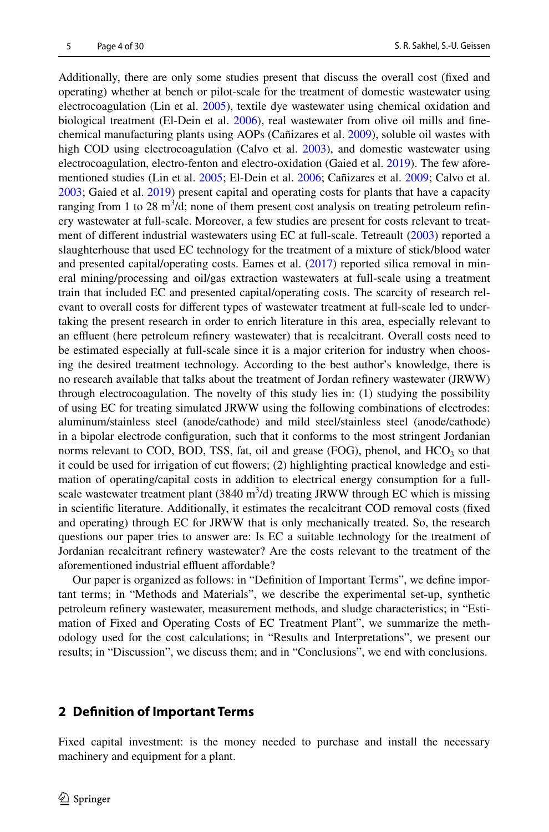Additionally, there are only some studies present that discuss the overall cost (fxed and operating) whether at bench or pilot-scale for the treatment of domestic wastewater using electrocoagulation (Lin et al. [2005](#page-27-11)), textile dye wastewater using chemical oxidation and biological treatment (El-Dein et al. [2006](#page-26-12)), real wastewater from olive oil mills and fnechemical manufacturing plants using AOPs (Cañizares et al. [2009\)](#page-25-7), soluble oil wastes with high COD using electrocoagulation (Calvo et al. [2003](#page-25-8)), and domestic wastewater using electrocoagulation, electro-fenton and electro-oxidation (Gaied et al. [2019\)](#page-26-13). The few aforementioned studies (Lin et al. [2005](#page-27-11); El-Dein et al. [2006](#page-26-12); Cañizares et al. [2009](#page-25-7); Calvo et al. [2003;](#page-25-8) Gaied et al. [2019](#page-26-13)) present capital and operating costs for plants that have a capacity ranging from 1 to 28  $\text{m}^3/\text{d}$ ; none of them present cost analysis on treating petroleum refinery wastewater at full-scale. Moreover, a few studies are present for costs relevant to treat-ment of different industrial wastewaters using EC at full-scale. Tetreault ([2003\)](#page-28-10) reported a slaughterhouse that used EC technology for the treatment of a mixture of stick/blood water and presented capital/operating costs. Eames et al. ([2017\)](#page-26-14) reported silica removal in mineral mining/processing and oil/gas extraction wastewaters at full-scale using a treatment train that included EC and presented capital/operating costs. The scarcity of research relevant to overall costs for diferent types of wastewater treatment at full-scale led to undertaking the present research in order to enrich literature in this area, especially relevant to an effluent (here petroleum refinery wastewater) that is recalcitrant. Overall costs need to be estimated especially at full-scale since it is a major criterion for industry when choosing the desired treatment technology. According to the best author's knowledge, there is no research available that talks about the treatment of Jordan refnery wastewater (JRWW) through electrocoagulation. The novelty of this study lies in: (1) studying the possibility of using EC for treating simulated JRWW using the following combinations of electrodes: aluminum/stainless steel (anode/cathode) and mild steel/stainless steel (anode/cathode) in a bipolar electrode confguration, such that it conforms to the most stringent Jordanian norms relevant to COD, BOD, TSS, fat, oil and grease (FOG), phenol, and  $HCO<sub>3</sub>$  so that it could be used for irrigation of cut fowers; (2) highlighting practical knowledge and estimation of operating/capital costs in addition to electrical energy consumption for a fullscale wastewater treatment plant  $(3840 \text{ m}^3/d)$  treating JRWW through EC which is missing in scientifc literature. Additionally, it estimates the recalcitrant COD removal costs (fxed and operating) through EC for JRWW that is only mechanically treated. So, the research questions our paper tries to answer are: Is EC a suitable technology for the treatment of Jordanian recalcitrant refnery wastewater? Are the costs relevant to the treatment of the aforementioned industrial effluent affordable?

Our paper is organized as follows: in "Defnition of Important Terms", we defne important terms; in "Methods and Materials", we describe the experimental set-up, synthetic petroleum refnery wastewater, measurement methods, and sludge characteristics; in "Estimation of Fixed and Operating Costs of EC Treatment Plant", we summarize the methodology used for the cost calculations; in "Results and Interpretations", we present our results; in "Discussion", we discuss them; and in "Conclusions", we end with conclusions.

## **2 Defnition of Important Terms**

Fixed capital investment: is the money needed to purchase and install the necessary machinery and equipment for a plant.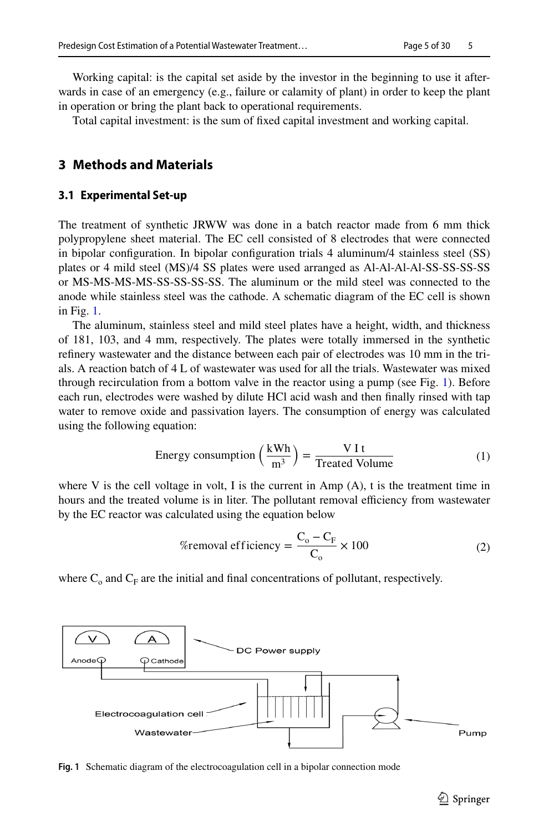Working capital: is the capital set aside by the investor in the beginning to use it afterwards in case of an emergency (e.g., failure or calamity of plant) in order to keep the plant in operation or bring the plant back to operational requirements.

Total capital investment: is the sum of fxed capital investment and working capital.

# **3 Methods and Materials**

#### **3.1 Experimental Set‑up**

The treatment of synthetic JRWW was done in a batch reactor made from 6 mm thick polypropylene sheet material. The EC cell consisted of 8 electrodes that were connected in bipolar confguration. In bipolar confguration trials 4 aluminum/4 stainless steel (SS) plates or 4 mild steel (MS)/4 SS plates were used arranged as Al-Al-Al-Al-SS-SS-SS-SS or MS-MS-MS-MS-SS-SS-SS-SS. The aluminum or the mild steel was connected to the anode while stainless steel was the cathode. A schematic diagram of the EC cell is shown in Fig. [1.](#page-4-0)

The aluminum, stainless steel and mild steel plates have a height, width, and thickness of 181, 103, and 4 mm, respectively. The plates were totally immersed in the synthetic refnery wastewater and the distance between each pair of electrodes was 10 mm in the trials. A reaction batch of 4 L of wastewater was used for all the trials. Wastewater was mixed through recirculation from a bottom valve in the reactor using a pump (see Fig. [1\)](#page-4-0). Before each run, electrodes were washed by dilute HCl acid wash and then fnally rinsed with tap water to remove oxide and passivation layers. The consumption of energy was calculated using the following equation:

Energy consumption 
$$
\left(\frac{\text{kWh}}{\text{m}^3}\right) = \frac{\text{V It}}{\text{Treated Volume}}
$$
 (1)

where V is the cell voltage in volt, I is the current in Amp  $(A)$ , t is the treatment time in hours and the treated volume is in liter. The pollutant removal efficiency from wastewater by the EC reactor was calculated using the equation below

<span id="page-4-1"></span>
$$
\%removal efficiency = \frac{C_o - C_F}{C_o} \times 100
$$
 (2)

where  $C_0$  and  $C_F$  are the initial and final concentrations of pollutant, respectively.



<span id="page-4-0"></span>**Fig. 1** Schematic diagram of the electrocoagulation cell in a bipolar connection mode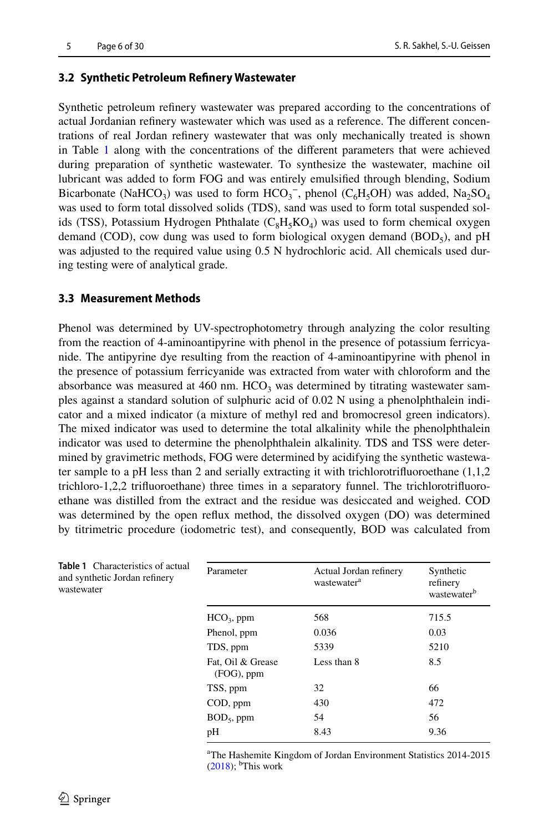#### **3.2 Synthetic Petroleum Refnery Wastewater**

Synthetic petroleum refnery wastewater was prepared according to the concentrations of actual Jordanian refnery wastewater which was used as a reference. The diferent concentrations of real Jordan refnery wastewater that was only mechanically treated is shown in Table [1](#page-5-0) along with the concentrations of the diferent parameters that were achieved during preparation of synthetic wastewater. To synthesize the wastewater, machine oil lubricant was added to form FOG and was entirely emulsifed through blending, Sodium Bicarbonate (NaHCO<sub>3</sub>) was used to form  $HCO_3^-$ , phenol (C<sub>6</sub>H<sub>5</sub>OH) was added, Na<sub>2</sub>SO<sub>4</sub> was used to form total dissolved solids (TDS), sand was used to form total suspended solids (TSS), Potassium Hydrogen Phthalate ( $C_8H_5KO_4$ ) was used to form chemical oxygen demand (COD), cow dung was used to form biological oxygen demand (BOD<sub>5</sub>), and pH was adjusted to the required value using 0.5 N hydrochloric acid. All chemicals used during testing were of analytical grade.

#### **3.3 Measurement Methods**

Phenol was determined by UV-spectrophotometry through analyzing the color resulting from the reaction of 4-aminoantipyrine with phenol in the presence of potassium ferricyanide. The antipyrine dye resulting from the reaction of 4-aminoantipyrine with phenol in the presence of potassium ferricyanide was extracted from water with chloroform and the absorbance was measured at  $460 \text{ nm}$ . HCO<sub>3</sub> was determined by titrating wastewater samples against a standard solution of sulphuric acid of 0.02 N using a phenolphthalein indicator and a mixed indicator (a mixture of methyl red and bromocresol green indicators). The mixed indicator was used to determine the total alkalinity while the phenolphthalein indicator was used to determine the phenolphthalein alkalinity. TDS and TSS were determined by gravimetric methods, FOG were determined by acidifying the synthetic wastewater sample to a pH less than 2 and serially extracting it with trichlorotrifuoroethane (1,1,2 trichloro-1,2,2 trifuoroethane) three times in a separatory funnel. The trichlorotrifuoroethane was distilled from the extract and the residue was desiccated and weighed. COD was determined by the open refux method, the dissolved oxygen (DO) was determined by titrimetric procedure (iodometric test), and consequently, BOD was calculated from

| Parameter                       | Actual Jordan refinery<br>wastewater <sup>a</sup> | Synthetic<br>refinery<br>wastewater <sup>b</sup> |
|---------------------------------|---------------------------------------------------|--------------------------------------------------|
| $HCO3$ , ppm                    | 568                                               | 715.5                                            |
| Phenol, ppm                     | 0.036                                             | 0.03                                             |
| TDS, ppm                        | 5339                                              | 5210                                             |
| Fat, Oil & Grease<br>(FOG), ppm | Less than 8                                       | 8.5                                              |
| TSS, ppm                        | 32                                                | 66                                               |
| COD, ppm                        | 430                                               | 472                                              |
| $BOD5$ , ppm                    | 54                                                | 56                                               |
| pH                              | 8.43                                              | 9.36                                             |

a The Hashemite Kingdom of Jordan Environment Statistics 2014-2015  $(2018)$  $(2018)$ ; <sup>b</sup>This work

<span id="page-5-0"></span>**Table 1** Characteristics of actual and synthetic Jordan refnery wastewater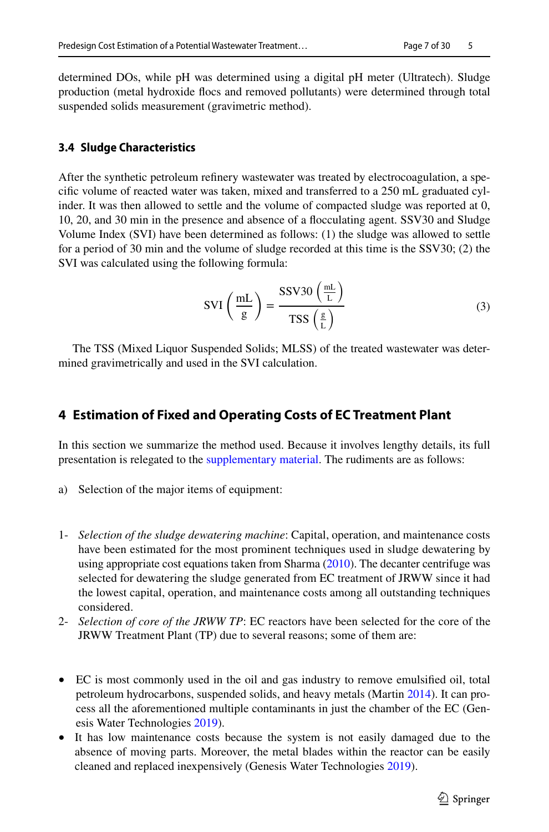determined DOs, while pH was determined using a digital pH meter (Ultratech). Sludge production (metal hydroxide focs and removed pollutants) were determined through total suspended solids measurement (gravimetric method).

# **3.4 Sludge Characteristics**

After the synthetic petroleum refnery wastewater was treated by electrocoagulation, a specifc volume of reacted water was taken, mixed and transferred to a 250 mL graduated cylinder. It was then allowed to settle and the volume of compacted sludge was reported at 0, 10, 20, and 30 min in the presence and absence of a focculating agent. SSV30 and Sludge Volume Index (SVI) have been determined as follows: (1) the sludge was allowed to settle for a period of 30 min and the volume of sludge recorded at this time is the SSV30; (2) the SVI was calculated using the following formula:

$$
SVI\left(\frac{mL}{g}\right) = \frac{SSV30\left(\frac{mL}{L}\right)}{TSS\left(\frac{g}{L}\right)}
$$
(3)

The TSS (Mixed Liquor Suspended Solids; MLSS) of the treated wastewater was determined gravimetrically and used in the SVI calculation.

# **4 Estimation of Fixed and Operating Costs of EC Treatment Plant**

In this section we summarize the method used. Because it involves lengthy details, its full presentation is relegated to the supplementary material. The rudiments are as follows:

- a) Selection of the major items of equipment:
- 1- *Selection of the sludge dewatering machine*: Capital, operation, and maintenance costs have been estimated for the most prominent techniques used in sludge dewatering by using appropriate cost equations taken from Sharma [\(2010](#page-28-11)). The decanter centrifuge was selected for dewatering the sludge generated from EC treatment of JRWW since it had the lowest capital, operation, and maintenance costs among all outstanding techniques considered.
- 2- *Selection of core of the JRWW TP*: EC reactors have been selected for the core of the JRWW Treatment Plant (TP) due to several reasons; some of them are:
- EC is most commonly used in the oil and gas industry to remove emulsifed oil, total petroleum hydrocarbons, suspended solids, and heavy metals (Martin [2014](#page-27-12)). It can process all the aforementioned multiple contaminants in just the chamber of the EC (Genesis Water Technologies [2019](#page-26-15)).
- It has low maintenance costs because the system is not easily damaged due to the absence of moving parts. Moreover, the metal blades within the reactor can be easily cleaned and replaced inexpensively (Genesis Water Technologies [2019](#page-26-15)).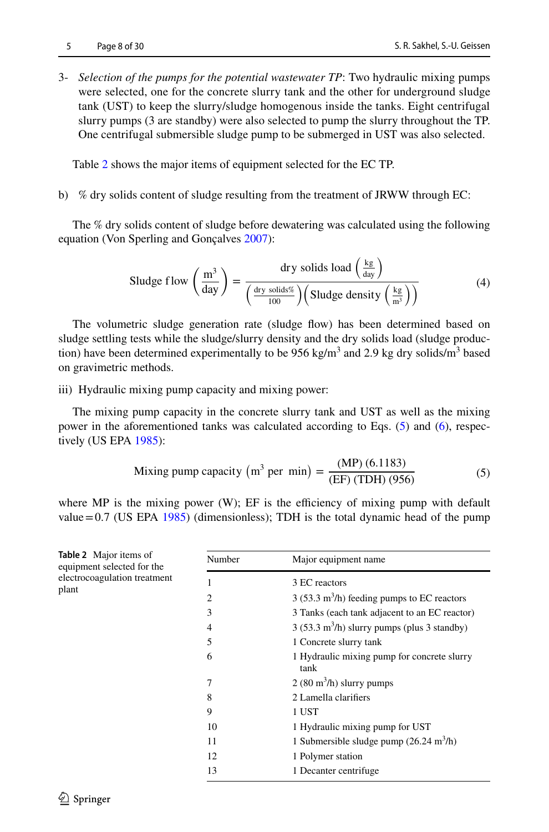3- *Selection of the pumps for the potential wastewater TP*: Two hydraulic mixing pumps were selected, one for the concrete slurry tank and the other for underground sludge tank (UST) to keep the slurry/sludge homogenous inside the tanks. Eight centrifugal slurry pumps (3 are standby) were also selected to pump the slurry throughout the TP. One centrifugal submersible sludge pump to be submerged in UST was also selected.

Table [2](#page-7-0) shows the major items of equipment selected for the EC TP.

b) % dry solids content of sludge resulting from the treatment of JRWW through EC:

The % dry solids content of sludge before dewatering was calculated using the following equation (Von Sperling and Gonçalves [2007\)](#page-29-5):

Sludge flow 
$$
\left(\frac{m^3}{\text{day}}\right) = \frac{\text{dry solids load } \left(\frac{\text{kg}}{\text{day}}\right)}{\left(\frac{\text{dry solids}\%}{100}\right) \left(\text{Sludge density } \left(\frac{\text{kg}}{\text{m}^3}\right)\right)}
$$
\n(4)

The volumetric sludge generation rate (sludge fow) has been determined based on sludge settling tests while the sludge/slurry density and the dry solids load (sludge production) have been determined experimentally to be 956 kg/m<sup>3</sup> and 2.9 kg dry solids/m<sup>3</sup> based on gravimetric methods.

iii) Hydraulic mixing pump capacity and mixing power:

The mixing pump capacity in the concrete slurry tank and UST as well as the mixing power in the aforementioned tanks was calculated according to Eqs. [\(5\)](#page-7-1) and ([6](#page-8-0)), respectively (US EPA [1985\)](#page-29-6):

<span id="page-7-1"></span>Mixing pump capacity (m<sup>3</sup> per min) = 
$$
\frac{\text{(MP) (6.1183)}}{\text{(EF) (TDH) (956)}}
$$
 (5)

where MP is the mixing power  $(W)$ ; EF is the efficiency of mixing pump with default value=0.7 (US EPA [1985](#page-29-6)) (dimensionless); TDH is the total dynamic head of the pump

<span id="page-7-0"></span>

| Table 2 Major items of<br>equipment selected for the | Number         | Major equipment name                                         |
|------------------------------------------------------|----------------|--------------------------------------------------------------|
| electrocoagulation treatment                         |                | 3 EC reactors                                                |
| plant                                                | $\overline{c}$ | $3(53.3 \text{ m}^3/\text{h})$ feeding pumps to EC reactors  |
|                                                      | 3              | 3 Tanks (each tank adjacent to an EC reactor)                |
|                                                      | 4              | $3(53.3 \text{ m}^3/\text{h})$ slurry pumps (plus 3 standby) |
|                                                      | 5              | 1 Concrete slurry tank                                       |
|                                                      | 6              | 1 Hydraulic mixing pump for concrete slurry<br>tank          |
|                                                      | 7              | $2(80 \text{ m}^3/\text{h})$ slurry pumps                    |
|                                                      | 8              | 2 Lamella clarifiers                                         |
|                                                      | 9              | 1 UST                                                        |
|                                                      | 10             | 1 Hydraulic mixing pump for UST                              |
|                                                      | 11             | 1 Submersible sludge pump $(26.24 \text{ m}^3/\text{h})$     |
|                                                      | 12             | 1 Polymer station                                            |
|                                                      | 13             | 1 Decanter centrifuge                                        |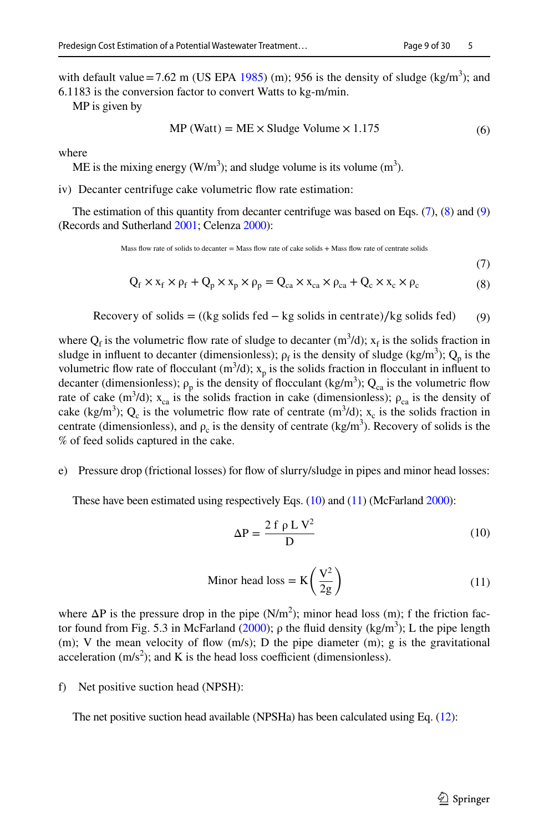with default value = 7.62 m (US EPA [1985](#page-29-6)) (m); 956 is the density of sludge (kg/m<sup>3</sup>); and 6.1183 is the conversion factor to convert Watts to kg-m/min.

MP is given by

$$
MP (Watt) = ME \times Sludge Volume \times 1.175
$$
 (6)

where

ME is the mixing energy ( $W/m<sup>3</sup>$ ); and sludge volume is its volume (m<sup>3</sup>).

iv) Decanter centrifuge cake volumetric flow rate estimation:

The estimation of this quantity from decanter centrifuge was based on Eqs. ([7](#page-8-1)), [\(8\)](#page-8-2) and ([9](#page-8-3)) (Records and Sutherland [2001](#page-28-12); Celenza [2000](#page-25-9)):

Mass flow rate of solids to decanter  $=$  Mass flow rate of cake solids  $+$  Mass flow rate of centrate solids

<span id="page-8-3"></span><span id="page-8-2"></span><span id="page-8-1"></span><span id="page-8-0"></span>(7)

$$
Q_f \times x_f \times \rho_f + Q_p \times x_p \times \rho_p = Q_{ca} \times x_{ca} \times \rho_{ca} + Q_c \times x_c \times \rho_c
$$
 (8)

Recovery of solids = ((kg solids fed − kg solids in centrate)∕kg solids fed) (9)

where  $Q_f$  is the volumetric flow rate of sludge to decanter  $(m^3/d)$ ;  $x_f$  is the solids fraction in sludge in influent to decanter (dimensionless);  $\rho_f$  is the density of sludge (kg/m<sup>3</sup>);  $Q_p$  is the volumetric flow rate of flocculant  $(m^3/d)$ ;  $x_p$  is the solids fraction in flocculant in influent to decanter (dimensionless);  $\rho_p$  is the density of flocculant (kg/m<sup>3</sup>); Q<sub>ca</sub> is the volumetric flow rate of cake  $(m^3/d)$ ;  $x_{ca}$  is the solids fraction in cake (dimensionless);  $\rho_{ca}$  is the density of cake (kg/m<sup>3</sup>); Q<sub>c</sub> is the volumetric flow rate of centrate (m<sup>3</sup>/d); x<sub>c</sub> is the solids fraction in centrate (dimensionless), and  $\rho_c$  is the density of centrate (kg/m<sup>3</sup>). Recovery of solids is the % of feed solids captured in the cake.

e) Pressure drop (frictional losses) for fow of slurry/sludge in pipes and minor head losses:

These have been estimated using respectively Eqs.  $(10)$  $(10)$  and  $(11)$  $(11)$  (McFarland [2000\)](#page-27-13):

<span id="page-8-5"></span><span id="page-8-4"></span>
$$
\Delta P = \frac{2 f \rho L V^2}{D} \tag{10}
$$

$$
\text{Minor head loss} = \mathbf{K} \left( \frac{\mathbf{V}^2}{2g} \right) \tag{11}
$$

where  $\Delta P$  is the pressure drop in the pipe (N/m<sup>2</sup>); minor head loss (m); f the friction fac-tor found from Fig. 5.3 in McFarland [\(2000](#page-27-13));  $ρ$  the fluid density (kg/m<sup>3</sup>); L the pipe length  $(m)$ ; V the mean velocity of flow  $(m/s)$ ; D the pipe diameter  $(m)$ ; g is the gravitational acceleration  $(m/s<sup>2</sup>)$ ; and K is the head loss coefficient (dimensionless).

f) Net positive suction head (NPSH):

The net positive suction head available (NPSHa) has been calculated using Eq. [\(12](#page-9-0)):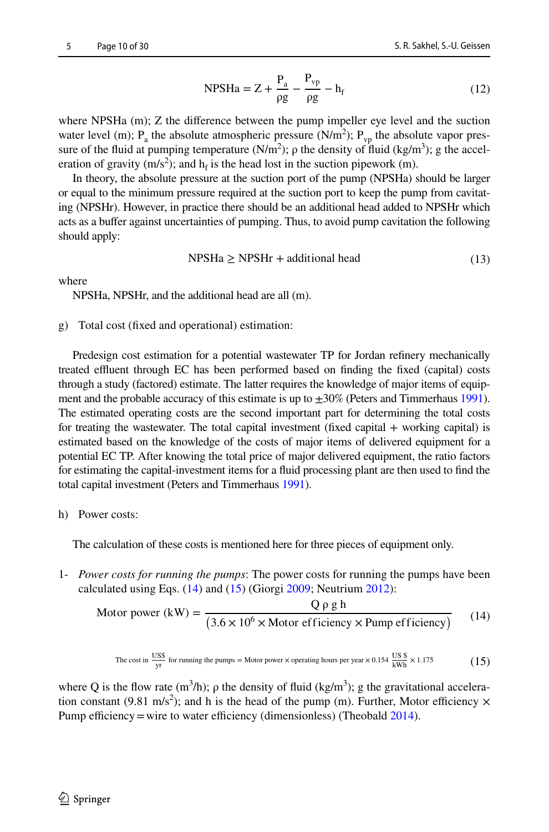<span id="page-9-0"></span>
$$
NPSHa = Z + \frac{P_a}{\rho g} - \frac{P_{vp}}{\rho g} - h_f
$$
 (12)

where NPSHa (m); Z the difference between the pump impeller eye level and the suction water level (m);  $P_a$  the absolute atmospheric pressure (N/m<sup>2</sup>);  $P_{vp}$  the absolute vapor pressure of the fluid at pumping temperature  $(N/m^2)$ ;  $\rho$  the density of fluid  $(kg/m^3)$ ; g the acceleration of gravity (m/s<sup>2</sup>); and  $h_f$  is the head lost in the suction pipework (m).

In theory, the absolute pressure at the suction port of the pump (NPSHa) should be larger or equal to the minimum pressure required at the suction port to keep the pump from cavitating (NPSHr). However, in practice there should be an additional head added to NPSHr which acts as a bufer against uncertainties of pumping. Thus, to avoid pump cavitation the following should apply:

$$
NPSHa \ge NPSHr + additional head \tag{13}
$$

where

NPSHa, NPSHr, and the additional head are all (m).

#### g) Total cost (fxed and operational) estimation:

Predesign cost estimation for a potential wastewater TP for Jordan refnery mechanically treated effluent through EC has been performed based on finding the fixed (capital) costs through a study (factored) estimate. The latter requires the knowledge of major items of equipment and the probable accuracy of this estimate is up to  $\pm 30\%$  (Peters and Timmerhaus [1991](#page-28-13)). The estimated operating costs are the second important part for determining the total costs for treating the wastewater. The total capital investment (fixed capital  $+$  working capital) is estimated based on the knowledge of the costs of major items of delivered equipment for a potential EC TP. After knowing the total price of major delivered equipment, the ratio factors for estimating the capital-investment items for a fuid processing plant are then used to fnd the total capital investment (Peters and Timmerhaus [1991](#page-28-13)).

h) Power costs:

The calculation of these costs is mentioned here for three pieces of equipment only.

1- *Power costs for running the pumps*: The power costs for running the pumps have been calculated using Eqs. ([14](#page-9-1)) and ([15\)](#page-9-2) (Giorgi [2009;](#page-26-16) Neutrium [2012](#page-28-14)):

$$
\text{Motor power (kW)} = \frac{Q \rho g h}{(3.6 \times 10^6 \times \text{Motor efficiency} \times \text{Pump efficiency})}
$$
(14)

<span id="page-9-2"></span><span id="page-9-1"></span>The cost in 
$$
\frac{USS}{yr}
$$
 for running the pumps = Motor power × operating hours per year × 0.154  $\frac{USS}{kWh} \times 1.175$  (15)

where Q is the flow rate  $(m^3/h)$ ;  $\rho$  the density of fluid (kg/m<sup>3</sup>); g the gravitational acceleration constant (9.81 m/s<sup>2</sup>); and h is the head of the pump (m). Further, Motor efficiency  $\times$ Pump efficiency = wire to water efficiency (dimensionless) (Theobald  $2014$ ).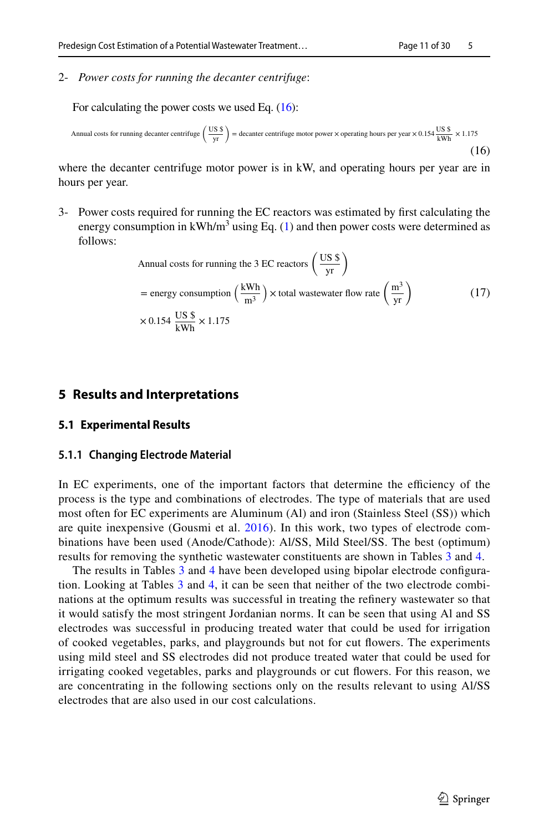2- *Power costs for running the decanter centrifuge*:

For calculating the power costs we used Eq.  $(16)$ :

Annual costs for running decanter centrifuge 
$$
\left(\frac{US \text{ s}}{\text{yr}}\right)
$$
 = decanter centrifuge motor power × operating hours per year × 0.154  $\frac{US \text{ s}}{\text{kWh}} \times 1.175$  (16)

where the decanter centrifuge motor power is in kW, and operating hours per year are in hours per year.

3- Power costs required for running the EC reactors was estimated by frst calculating the energy consumption in  $kWh/m<sup>3</sup>$  using Eq. [\(1](#page-4-1)) and then power costs were determined as follows:

<span id="page-10-0"></span>Annual costs for running the 3 EC reactions 
$$
\left(\frac{US \text{ s}}{yr}\right)
$$
  
= energy consumption  $\left(\frac{kWh}{m^3}\right) \times \text{total wastewater flow rate } \left(\frac{m^3}{yr}\right)$  (17)  
 $\times 0.154 \frac{US \text{ s}}{kWh} \times 1.175$ 

## **5 Results and Interpretations**

#### **5.1 Experimental Results**

#### **5.1.1 Changing Electrode Material**

In EC experiments, one of the important factors that determine the efficiency of the process is the type and combinations of electrodes. The type of materials that are used most often for EC experiments are Aluminum (Al) and iron (Stainless Steel (SS)) which are quite inexpensive (Gousmi et al. [2016\)](#page-27-14). In this work, two types of electrode combinations have been used (Anode/Cathode): Al/SS, Mild Steel/SS. The best (optimum) results for removing the synthetic wastewater constituents are shown in Tables [3](#page-11-0) and [4.](#page-12-0)

The results in Tables [3](#page-11-0) and [4](#page-12-0) have been developed using bipolar electrode confguration. Looking at Tables [3](#page-11-0) and [4,](#page-12-0) it can be seen that neither of the two electrode combinations at the optimum results was successful in treating the refnery wastewater so that it would satisfy the most stringent Jordanian norms. It can be seen that using Al and SS electrodes was successful in producing treated water that could be used for irrigation of cooked vegetables, parks, and playgrounds but not for cut fowers. The experiments using mild steel and SS electrodes did not produce treated water that could be used for irrigating cooked vegetables, parks and playgrounds or cut fowers. For this reason, we are concentrating in the following sections only on the results relevant to using Al/SS electrodes that are also used in our cost calculations.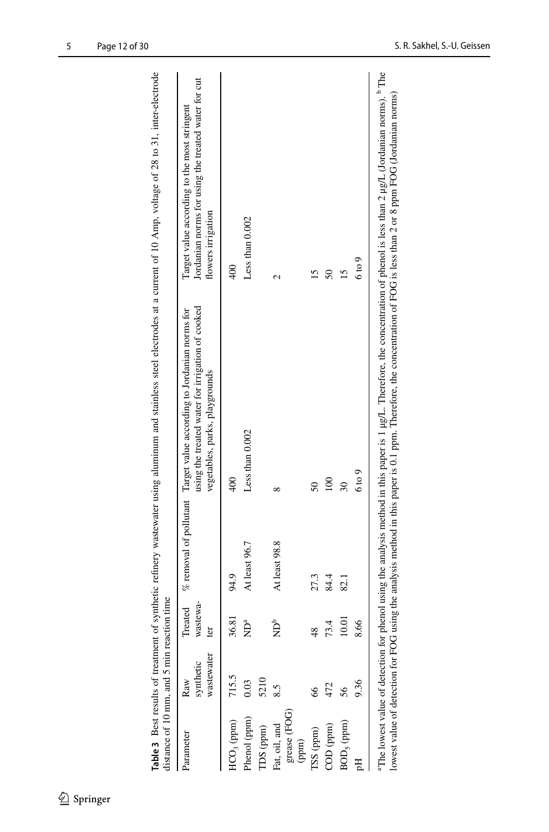| distance of 10 mm, and 5 min reaction time |                                |                               |                            |                                                                                                                                                                         |                                                                                                                                                                                                         |
|--------------------------------------------|--------------------------------|-------------------------------|----------------------------|-------------------------------------------------------------------------------------------------------------------------------------------------------------------------|---------------------------------------------------------------------------------------------------------------------------------------------------------------------------------------------------------|
| Parameter                                  | wastewater<br>synthetic<br>Raw | wastewa-<br>ter               |                            | using the treated water for irrigation of cooked<br>Treated % removal of pollutant Target value according to Jordanian norms for<br>vegetables, parks, playgrounds      | Jordanian norms for using the treated water for cut<br>Target value according to the most stringent<br>flowers irrigation                                                                               |
| HCO <sub>3</sub> (ppm)                     | 715.5                          | 36.81                         | 94.9                       | $^{400}$                                                                                                                                                                |                                                                                                                                                                                                         |
| Phenol (ppm)                               | 0.03                           | $\sum_{a}^{a}$                | At least 96.7              | Less than 0.002                                                                                                                                                         | Less than 0.002                                                                                                                                                                                         |
| TDS (ppm)                                  | 5210                           |                               |                            |                                                                                                                                                                         |                                                                                                                                                                                                         |
| Fat, oil, and                              | 8.5                            | $\mathbf{\hat{B}}^{\text{b}}$ | At least 98.8              | $\infty$                                                                                                                                                                | N                                                                                                                                                                                                       |
| grease (FOG)<br>(ppm)                      |                                |                               |                            |                                                                                                                                                                         |                                                                                                                                                                                                         |
| TSS (ppm)                                  | 8                              | $\frac{48}{5}$                | 27.3                       | $50\,$                                                                                                                                                                  |                                                                                                                                                                                                         |
| COD (ppm)                                  | 472                            | 73.4                          | 84.4                       | $\overline{00}$                                                                                                                                                         |                                                                                                                                                                                                         |
| $BOD5$ (ppm)                               | 56                             | 10.01                         | $\overline{\mathbb{S}}$ -1 | 30                                                                                                                                                                      | 15                                                                                                                                                                                                      |
|                                            | 9.36                           | 8.66                          |                            | 6 to 9                                                                                                                                                                  | $6 \text{ to } 9$                                                                                                                                                                                       |
|                                            |                                |                               |                            | lowest value of detection for FOG using the analysis method in this paper is 0.1 ppm. Therefore, the concentration of FOG is less than 2 or 8 ppm FOG (Jordanian norms) | <sup>3</sup> The lowest value of detection for phenol using the analysis method in this paper is 1 µg/L. Therefore, the concentration of phenol is less than 2 µg/L (Jordanian norms). <sup>b</sup> The |

<span id="page-11-0"></span>Table 3 Best results of treatment of synthetic refinery wastewater using aluminum and stainless steel electrodes at a current of 10 Amp, voltage of 28 to 31, inter-electrode **Table 3** Best results of treatment of synthetic refnery wastewater using aluminum and stainless steel electrodes at a current of 10 Amp, voltage of 28 to 31, inter-electrode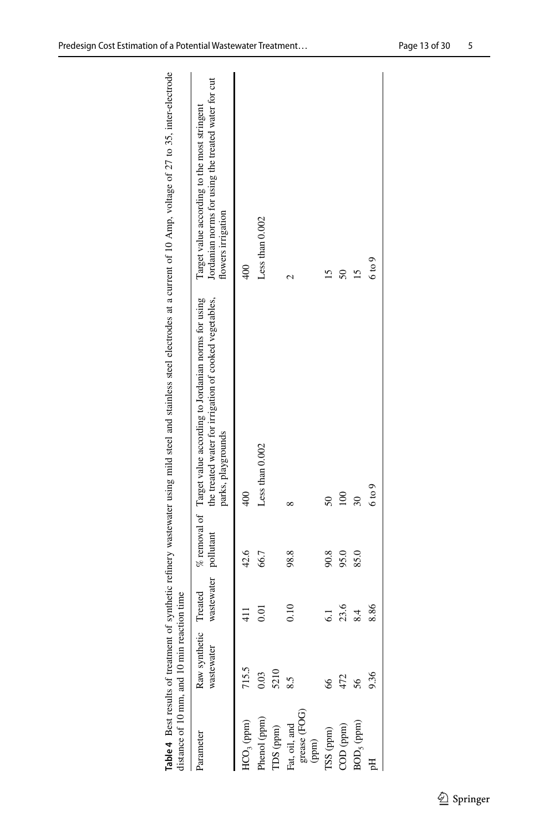<span id="page-12-0"></span>

| distance of 10 mm, and 10 min reaction time |                             |                                 |      | Table 4 Best results of treatment of synthetic refinery wastewater using mild steel and stainless steel electrodes at a current of 10 Amp, voltage of 27 to 35, inter-electrode |                                                                                                                           |
|---------------------------------------------|-----------------------------|---------------------------------|------|---------------------------------------------------------------------------------------------------------------------------------------------------------------------------------|---------------------------------------------------------------------------------------------------------------------------|
| Parameter                                   | Raw synthetic<br>wastewater | wastewater pollutant<br>Treated |      | the treated water for irrigation of cooked vegetables,<br>$%$ removal of Target value according to Jordanian norms for using<br>parks, playgrounds                              | Jordanian norms for using the treated water for cut<br>Target value according to the most stringent<br>flowers irrigation |
| HCO <sub>3</sub> (ppm)                      | 715.5                       | 411                             | 42.6 | $\frac{40}{3}$                                                                                                                                                                  | $\frac{400}{5}$                                                                                                           |
| Phenol (ppm)                                | 0.03                        | 0.01                            | 66.7 | Less than 0.002                                                                                                                                                                 | Less than $0.002$                                                                                                         |
| $IDS$ (ppm)                                 | 5210                        |                                 |      |                                                                                                                                                                                 |                                                                                                                           |
| grease (FOG)<br>Fat, oil, and<br>(ppm)      | 8.5                         | 0.10                            | 98.8 | ∞                                                                                                                                                                               | N                                                                                                                         |
| TSS (ppm)                                   | 8                           | $\overline{61}$                 | 90.8 | $50\,$                                                                                                                                                                          |                                                                                                                           |
| $\text{COD (ppm)}$                          | 472                         | 23.6                            | 95.0 | $\approx$                                                                                                                                                                       | $\overline{50}$                                                                                                           |
| $BOD5$ (ppm)                                | 56                          | 8.4                             | 85.0 | $\overline{30}$                                                                                                                                                                 | 15                                                                                                                        |
| 덩                                           | 9.36                        | 8.86                            |      | $6 \text{ to } 9$                                                                                                                                                               | $6 \text{ to } 9$                                                                                                         |
|                                             |                             |                                 |      |                                                                                                                                                                                 |                                                                                                                           |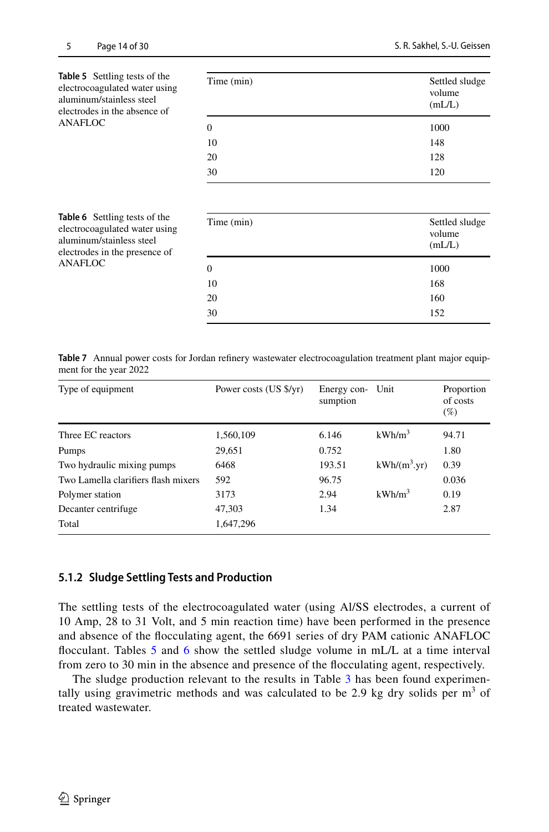<span id="page-13-0"></span>

| <b>Table 5</b> Settling tests of the<br>electrocoagulated water using<br>aluminum/stainless steel<br>electrodes in the absence of | Time (min) | Settled sludge<br>volume<br>(mL/L) |
|-----------------------------------------------------------------------------------------------------------------------------------|------------|------------------------------------|
| ANAFLOC                                                                                                                           | 0          | 1000                               |
|                                                                                                                                   | 10         | 148                                |
|                                                                                                                                   | 20         | 128                                |
|                                                                                                                                   | 30         | 120                                |

<span id="page-13-1"></span>

| <b>Table 6</b> Settling tests of the<br>electrocoagulated water using<br>aluminum/stainless steel<br>electrodes in the presence of | Time (min) | Settled sludge<br>volume<br>mL/L |
|------------------------------------------------------------------------------------------------------------------------------------|------------|----------------------------------|
| ANAFLOC                                                                                                                            | 0          | 1000                             |
|                                                                                                                                    | 10         | 168                              |
|                                                                                                                                    | 20         | 160                              |
|                                                                                                                                    | 30         | 152                              |

<span id="page-13-2"></span>**Table 7** Annual power costs for Jordan refnery wastewater electrocoagulation treatment plant major equipment for the year 2022

| Type of equipment                   | Power costs (US \$/yr) | Energy con-<br>sumption | Unit               | Proportion<br>of costs<br>$(\%)$ |
|-------------------------------------|------------------------|-------------------------|--------------------|----------------------------------|
| Three EC reactors                   | 1,560,109              | 6.146                   | kWh/m <sup>3</sup> | 94.71                            |
| Pumps                               | 29,651                 | 0.752                   |                    | 1.80                             |
| Two hydraulic mixing pumps          | 6468                   | 193.51                  | $kWh/(m^3.yr)$     | 0.39                             |
| Two Lamella clarifiers flash mixers | 592                    | 96.75                   |                    | 0.036                            |
| Polymer station                     | 3173                   | 2.94                    | $kWh/m^3$          | 0.19                             |
| Decanter centrifuge                 | 47,303                 | 1.34                    |                    | 2.87                             |
| Total                               | 1,647,296              |                         |                    |                                  |

#### **5.1.2 Sludge Settling Tests and Production**

The settling tests of the electrocoagulated water (using Al/SS electrodes, a current of 10 Amp, 28 to 31 Volt, and 5 min reaction time) have been performed in the presence and absence of the focculating agent, the 6691 series of dry PAM cationic ANAFLOC flocculant. Tables [5](#page-13-0) and [6](#page-13-1) show the settled sludge volume in mL/L at a time interval from zero to 30 min in the absence and presence of the focculating agent, respectively.

The sludge production relevant to the results in Table [3](#page-11-0) has been found experimentally using gravimetric methods and was calculated to be 2.9 kg dry solids per  $m<sup>3</sup>$  of treated wastewater.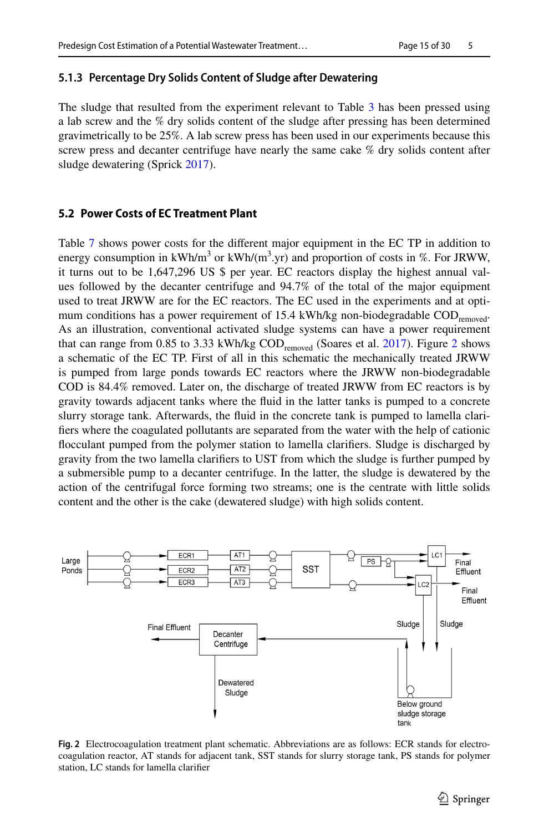#### **5.1.3 Percentage Dry Solids Content of Sludge after Dewatering**

The sludge that resulted from the experiment relevant to Table [3](#page-11-0) has been pressed using a lab screw and the % dry solids content of the sludge after pressing has been determined gravimetrically to be 25%. A lab screw press has been used in our experiments because this screw press and decanter centrifuge have nearly the same cake % dry solids content after sludge dewatering (Sprick [2017](#page-28-15)).

#### **5.2 Power Costs of EC Treatment Plant**

Table [7](#page-13-2) shows power costs for the diferent major equipment in the EC TP in addition to energy consumption in  $kWh/m^3$  or  $kWh/(m^3 \text{yr})$  and proportion of costs in %. For JRWW, it turns out to be 1,647,296 US \$ per year. EC reactors display the highest annual values followed by the decanter centrifuge and 94.7% of the total of the major equipment used to treat JRWW are for the EC reactors. The EC used in the experiments and at optimum conditions has a power requirement of 15.4 kWh/kg non-biodegradable COD<sub>removed</sub>. As an illustration, conventional activated sludge systems can have a power requirement that can range from 0.85 to 3.33 kWh/kg  $\text{COD}_{\text{removed}}$  (Soares et al. [2017\)](#page-28-16). Figure [2](#page-14-0) shows a schematic of the EC TP. First of all in this schematic the mechanically treated JRWW is pumped from large ponds towards EC reactors where the JRWW non-biodegradable COD is 84.4% removed. Later on, the discharge of treated JRWW from EC reactors is by gravity towards adjacent tanks where the fuid in the latter tanks is pumped to a concrete slurry storage tank. Afterwards, the fuid in the concrete tank is pumped to lamella clarifers where the coagulated pollutants are separated from the water with the help of cationic focculant pumped from the polymer station to lamella clarifers. Sludge is discharged by gravity from the two lamella clarifers to UST from which the sludge is further pumped by a submersible pump to a decanter centrifuge. In the latter, the sludge is dewatered by the action of the centrifugal force forming two streams; one is the centrate with little solids content and the other is the cake (dewatered sludge) with high solids content.



<span id="page-14-0"></span>**Fig. 2** Electrocoagulation treatment plant schematic. Abbreviations are as follows: ECR stands for electrocoagulation reactor, AT stands for adjacent tank, SST stands for slurry storage tank, PS stands for polymer station, LC stands for lamella clarifer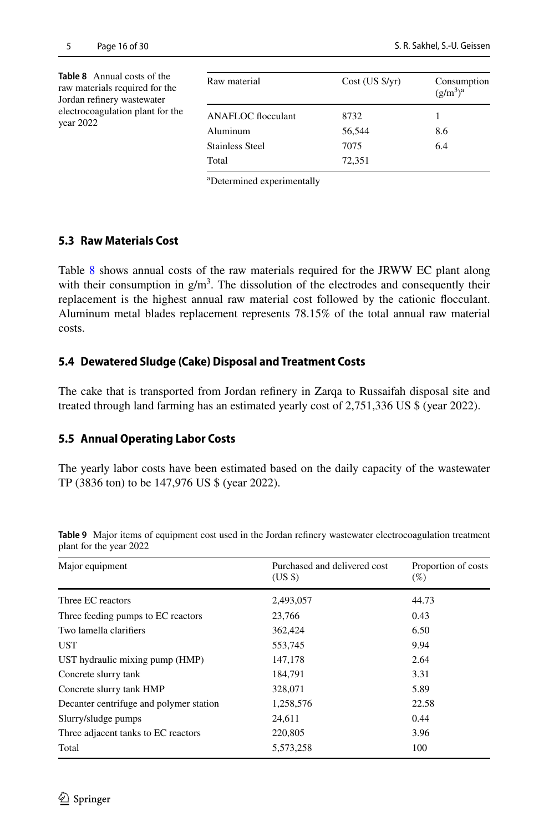<span id="page-15-0"></span>

| <b>Table 8</b> Annual costs of the<br>raw materials required for the<br>Jordan refinery wastewater | Raw material                          | $Cost (US \frac{f}{f}/yr)$ | Consumption<br>$(g/m^3)^a$ |
|----------------------------------------------------------------------------------------------------|---------------------------------------|----------------------------|----------------------------|
| electrocoagulation plant for the<br>year $2022$                                                    | <b>ANAFLOC</b> flocculant<br>Aluminum | 8732<br>56,544             | 8.6                        |
|                                                                                                    | <b>Stainless Steel</b>                | 7075                       | 6.4                        |
|                                                                                                    | Total                                 | 72,351                     |                            |

a Determined experimentally

### **5.3 Raw Materials Cost**

Table [8](#page-15-0) shows annual costs of the raw materials required for the JRWW EC plant along with their consumption in  $g/m<sup>3</sup>$ . The dissolution of the electrodes and consequently their replacement is the highest annual raw material cost followed by the cationic focculant. Aluminum metal blades replacement represents 78.15% of the total annual raw material costs.

### **5.4 Dewatered Sludge (Cake) Disposal and Treatment Costs**

The cake that is transported from Jordan refnery in Zarqa to Russaifah disposal site and treated through land farming has an estimated yearly cost of 2,751,336 US \$ (year 2022).

## **5.5 Annual Operating Labor Costs**

The yearly labor costs have been estimated based on the daily capacity of the wastewater TP (3836 ton) to be 147,976 US \$ (year 2022).

| Major equipment                         | Purchased and delivered cost<br>(USS) | Proportion of costs<br>(%) |
|-----------------------------------------|---------------------------------------|----------------------------|
| Three EC reactors                       | 2,493,057                             | 44.73                      |
| Three feeding pumps to EC reactors      | 23.766                                | 0.43                       |
| Two lamella clarifiers                  | 362,424                               | 6.50                       |
| UST                                     | 553,745                               | 9.94                       |
| UST hydraulic mixing pump (HMP)         | 147,178                               | 2.64                       |
| Concrete slurry tank                    | 184.791                               | 3.31                       |
| Concrete slurry tank HMP                | 328,071                               | 5.89                       |
| Decanter centrifuge and polymer station | 1,258,576                             | 22.58                      |
| Slurry/sludge pumps                     | 24.611                                | 0.44                       |
| Three adjacent tanks to EC reactors     | 220,805                               | 3.96                       |
| Total                                   | 5,573,258                             | 100                        |
|                                         |                                       |                            |

<span id="page-15-1"></span>**Table 9** Major items of equipment cost used in the Jordan refnery wastewater electrocoagulation treatment plant for the year 2022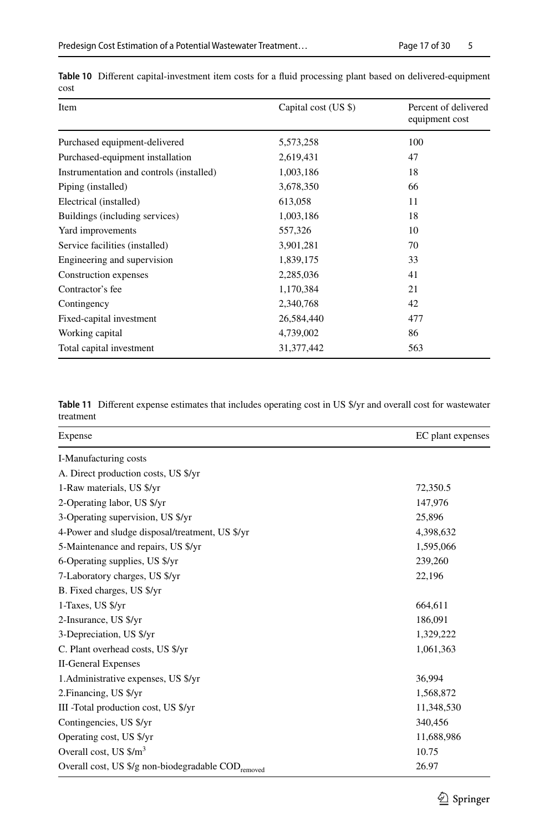| Item                                     | Capital cost (US \$) | Percent of delivered<br>equipment cost |
|------------------------------------------|----------------------|----------------------------------------|
| Purchased equipment-delivered            | 5,573,258            | 100                                    |
| Purchased-equipment installation         | 2,619,431            | 47                                     |
| Instrumentation and controls (installed) | 1,003,186            | 18                                     |
| Piping (installed)                       | 3,678,350            | 66                                     |
| Electrical (installed)                   | 613,058              | 11                                     |
| Buildings (including services)           | 1,003,186            | 18                                     |
| Yard improvements                        | 557,326              | 10                                     |
| Service facilities (installed)           | 3,901,281            | 70                                     |
| Engineering and supervision              | 1,839,175            | 33                                     |
| Construction expenses                    | 2,285,036            | 41                                     |
| Contractor's fee                         | 1,170,384            | 21                                     |
| Contingency                              | 2,340,768            | 42                                     |
| Fixed-capital investment                 | 26,584,440           | 477                                    |
| Working capital                          | 4,739,002            | 86                                     |
| Total capital investment                 | 31, 377, 442         | 563                                    |
|                                          |                      |                                        |

<span id="page-16-0"></span>**Table 10** Diferent capital-investment item costs for a fuid processing plant based on delivered-equipment cost

<span id="page-16-1"></span>**Table 11** Diferent expense estimates that includes operating cost in US \$/yr and overall cost for wastewater treatment

| Expense                                                        | EC plant expenses |
|----------------------------------------------------------------|-------------------|
| I-Manufacturing costs                                          |                   |
| A. Direct production costs, US \$/yr                           |                   |
| 1-Raw materials, US \$/yr                                      | 72,350.5          |
| 2-Operating labor, US \$/yr                                    | 147,976           |
| 3-Operating supervision, US \$/yr                              | 25,896            |
| 4-Power and sludge disposal/treatment, US \$/yr                | 4,398,632         |
| 5-Maintenance and repairs, US \$/yr                            | 1,595,066         |
| 6-Operating supplies, US \$/yr                                 | 239,260           |
| 7-Laboratory charges, US \$/yr                                 | 22,196            |
| B. Fixed charges, US \$/yr                                     |                   |
| 1-Taxes, US \$/yr                                              | 664,611           |
| 2-Insurance, US \$/yr                                          | 186,091           |
| 3-Depreciation, US \$/yr                                       | 1,329,222         |
| C. Plant overhead costs, US \$/yr                              | 1,061,363         |
| <b>II-General Expenses</b>                                     |                   |
| 1. Administrative expenses, US \$/yr                           | 36,994            |
| 2. Financing, US \$/yr                                         | 1,568,872         |
| III -Total production cost, US \$/yr                           | 11,348,530        |
| Contingencies, US \$/yr                                        | 340,456           |
| Operating cost, US \$/yr                                       | 11,688,986        |
| Overall cost, US \$/m <sup>3</sup>                             | 10.75             |
| Overall cost, US \$/g non-biodegradable COD <sub>removed</sub> | 26.97             |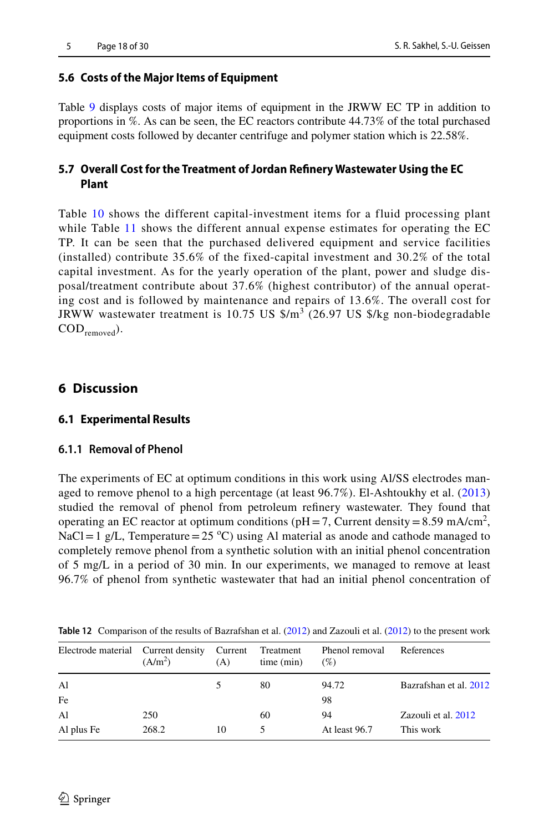# **5.6 Costs of the Major Items of Equipment**

Table [9](#page-15-1) displays costs of major items of equipment in the JRWW EC TP in addition to proportions in %. As can be seen, the EC reactors contribute 44.73% of the total purchased equipment costs followed by decanter centrifuge and polymer station which is 22.58%.

# **5.7 Overall Cost for the Treatment of Jordan Refnery Wastewater Using the EC Plant**

Table [10](#page-16-0) shows the different capital-investment items for a fluid processing plant while Table [11](#page-16-1) shows the different annual expense estimates for operating the EC TP. It can be seen that the purchased delivered equipment and service facilities (installed) contribute 35.6% of the fixed-capital investment and 30.2% of the total capital investment. As for the yearly operation of the plant, power and sludge disposal/treatment contribute about 37.6% (highest contributor) of the annual operating cost and is followed by maintenance and repairs of 13.6%. The overall cost for JRWW wastewater treatment is 10.75 US  $\frac{1}{2}$  (26.97 US  $\frac{1}{2}$  non-biodegradable  $\mathrm{COD}_{\mathrm{removed}}$ ).

# **6 Discussion**

# **6.1 Experimental Results**

### **6.1.1 Removal of Phenol**

The experiments of EC at optimum conditions in this work using Al/SS electrodes managed to remove phenol to a high percentage (at least 96.7%). El-Ashtoukhy et al. ([2013](#page-26-4)) studied the removal of phenol from petroleum refnery wastewater. They found that operating an EC reactor at optimum conditions ( $pH = 7$ , Current density = 8.59 mA/cm<sup>2</sup>, NaCl = 1 g/L, Temperature =  $25 \text{ °C}$ ) using Al material as anode and cathode managed to completely remove phenol from a synthetic solution with an initial phenol concentration of 5 mg/L in a period of 30 min. In our experiments, we managed to remove at least 96.7% of phenol from synthetic wastewater that had an initial phenol concentration of

| Electrode material Current density | (A/m <sup>2</sup> ) | Current<br>(A) | Treatment<br>time (min) | Phenol removal<br>(% ) | References             |
|------------------------------------|---------------------|----------------|-------------------------|------------------------|------------------------|
| Al                                 |                     |                | 80                      | 94.72                  | Bazrafshan et al. 2012 |
| Fe                                 |                     |                |                         | 98                     |                        |
| Al                                 | 250                 |                | 60                      | 94                     | Zazouli et al. 2012    |
| Al plus Fe                         | 268.2               | 10             |                         | At least 96.7          | This work              |

<span id="page-17-0"></span>**Table 12** Comparison of the results of Bazrafshan et al. ([2012\)](#page-25-10) and Zazouli et al. ([2012\)](#page-29-8) to the present work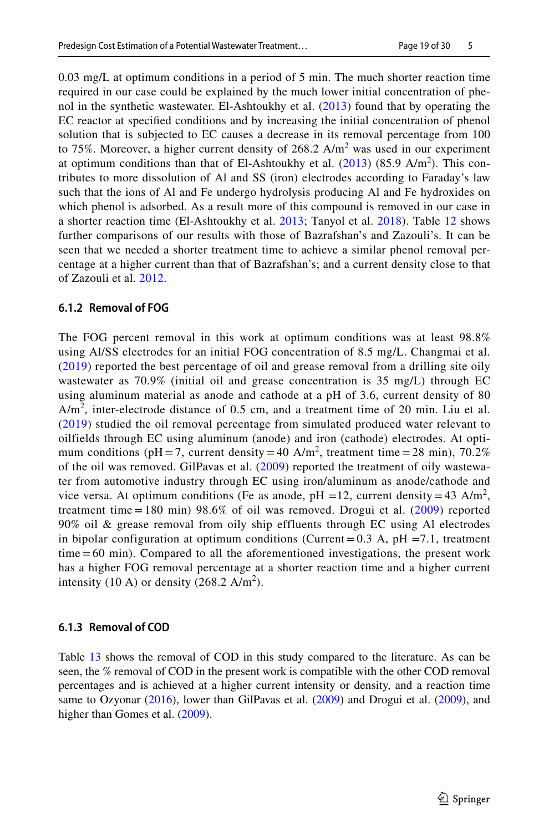0.03 mg/L at optimum conditions in a period of 5 min. The much shorter reaction time required in our case could be explained by the much lower initial concentration of phenol in the synthetic wastewater. El-Ashtoukhy et al. ([2013](#page-26-4)) found that by operating the EC reactor at specifed conditions and by increasing the initial concentration of phenol solution that is subjected to EC causes a decrease in its removal percentage from 100 to 75%. Moreover, a higher current density of  $268.2$  A/m<sup>2</sup> was used in our experiment at optimum conditions than that of El-Ashtoukhy et al.  $(2013)$  $(2013)$  $(2013)$   $(85.9 \text{ A/m}^2)$ . This contributes to more dissolution of Al and SS (iron) electrodes according to Faraday's law such that the ions of Al and Fe undergo hydrolysis producing Al and Fe hydroxides on which phenol is adsorbed. As a result more of this compound is removed in our case in a shorter reaction time (El-Ashtoukhy et al. [2013](#page-26-4); Tanyol et al. [2018\)](#page-28-17). Table [12](#page-17-0) shows further comparisons of our results with those of Bazrafshan's and Zazouli's. It can be seen that we needed a shorter treatment time to achieve a similar phenol removal percentage at a higher current than that of Bazrafshan's; and a current density close to that of Zazouli et al. [2012](#page-29-8).

### **6.1.2 Removal of FOG**

The FOG percent removal in this work at optimum conditions was at least 98.8% using Al/SS electrodes for an initial FOG concentration of 8.5 mg/L. Changmai et al. ([2019](#page-25-11)) reported the best percentage of oil and grease removal from a drilling site oily wastewater as 70.9% (initial oil and grease concentration is 35 mg/L) through EC using aluminum material as anode and cathode at a pH of 3.6, current density of 80  $A/m<sup>2</sup>$ , inter-electrode distance of 0.5 cm, and a treatment time of 20 min. Liu et al. ([2019](#page-27-15)) studied the oil removal percentage from simulated produced water relevant to oilfields through EC using aluminum (anode) and iron (cathode) electrodes. At optimum conditions (pH = 7, current density = 40 A/m<sup>2</sup>, treatment time = 28 min), 70.2% of the oil was removed. GilPavas et al. [\(2009](#page-26-17)) reported the treatment of oily wastewater from automotive industry through EC using iron/aluminum as anode/cathode and vice versa. At optimum conditions (Fe as anode, pH =12, current density = 43 A/m<sup>2</sup>, treatment time  $= 180$  min) 98.6% of oil was removed. Drogui et al. ([2009](#page-26-18)) reported 90% oil & grease removal from oily ship effluents through EC using Al electrodes in bipolar configuration at optimum conditions (Current =  $0.3$  A, pH =  $7.1$ , treatment time = 60 min). Compared to all the aforementioned investigations, the present work has a higher FOG removal percentage at a shorter reaction time and a higher current intensity (10 A) or density (268.2 A/m<sup>2</sup>).

### **6.1.3 Removal of COD**

Table [13](#page-19-0) shows the removal of COD in this study compared to the literature. As can be seen, the % removal of COD in the present work is compatible with the other COD removal percentages and is achieved at a higher current intensity or density, and a reaction time same to Ozyonar ([2016\)](#page-28-18), lower than GilPavas et al. [\(2009](#page-26-17)) and Drogui et al. [\(2009](#page-26-18)), and higher than Gomes et al. [\(2009](#page-26-19)).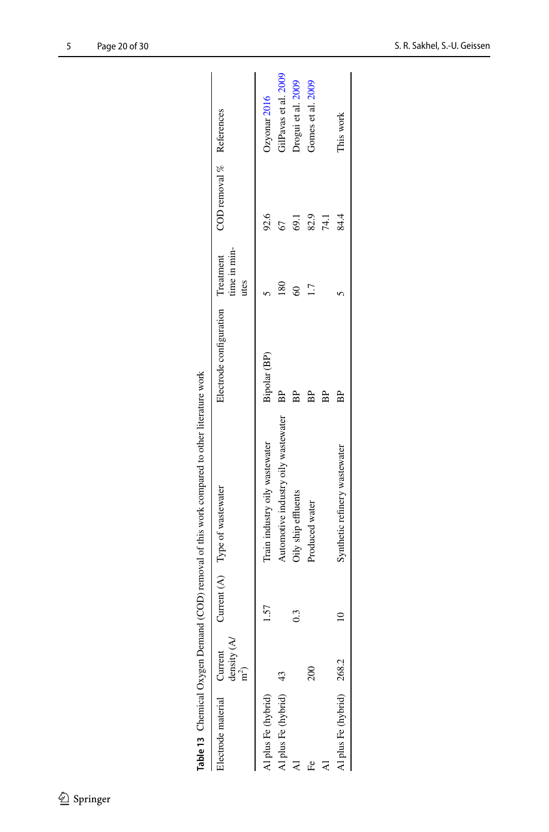<span id="page-19-0"></span>

|                            |                     |                  | Table 13 Chemical Oxygen Demand (COD) removal of this work compared to other literature work |                                   |                      |                          |                      |
|----------------------------|---------------------|------------------|----------------------------------------------------------------------------------------------|-----------------------------------|----------------------|--------------------------|----------------------|
| Electrode material Current | density (A/ $m^2$ ) |                  | Current (A) Type of wastewater                                                               | Electrode configuration Treatment | time in min-<br>utes | COD removal % References |                      |
| Al plus Fe (hybrid)        |                     | 1.57             | Train industry oily wastewater                                                               | Bipolar (BP)                      |                      | 92.6                     | Ozyonar 2016         |
| Al plus Fe (hybrid) 43     |                     |                  | Automotive industry oily wastewater                                                          | BP                                | $^{80}$              |                          | GilPavas et al. 2009 |
|                            |                     | $0.\overline{3}$ | Oily ship effluents                                                                          | 윤                                 | 8                    | <b>69.1</b>              | Drogui et al. 2009   |
| Ê                          | $\approx$           |                  | Produced water                                                                               |                                   |                      | 82.9                     | Gomes et al. 2009    |
|                            |                     |                  |                                                                                              |                                   |                      | 74.1                     |                      |
| Al plus Fe (hybrid) 268.2  |                     |                  | Synthetic refinery wastewater                                                                | 윤                                 |                      | 84.4                     | This work            |
|                            |                     |                  |                                                                                              |                                   |                      |                          |                      |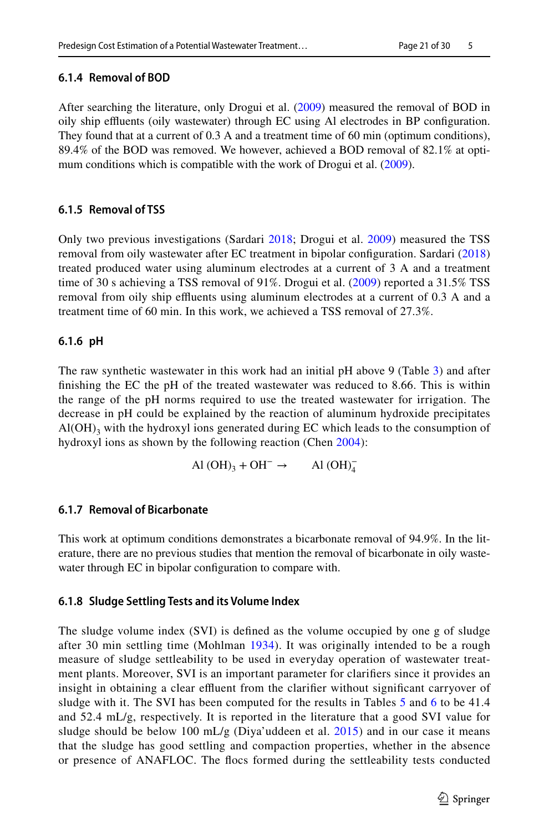# **6.1.4 Removal of BOD**

After searching the literature, only Drogui et al. [\(2009](#page-26-18)) measured the removal of BOD in oily ship efuents (oily wastewater) through EC using Al electrodes in BP confguration. They found that at a current of 0.3 A and a treatment time of 60 min (optimum conditions), 89.4% of the BOD was removed. We however, achieved a BOD removal of 82.1% at opti-mum conditions which is compatible with the work of Drogui et al. ([2009\)](#page-26-18).

# **6.1.5 Removal of TSS**

Only two previous investigations (Sardari [2018](#page-28-19); Drogui et al. [2009\)](#page-26-18) measured the TSS removal from oily wastewater after EC treatment in bipolar confguration. Sardari ([2018](#page-28-19)) treated produced water using aluminum electrodes at a current of 3 A and a treatment time of 30 s achieving a TSS removal of 91%. Drogui et al. [\(2009\)](#page-26-18) reported a 31.5% TSS removal from oily ship effluents using aluminum electrodes at a current of 0.3 A and a treatment time of 60 min. In this work, we achieved a TSS removal of 27.3%.

# **6.1.6 pH**

The raw synthetic wastewater in this work had an initial pH above 9 (Table [3\)](#page-11-0) and after fnishing the EC the pH of the treated wastewater was reduced to 8.66. This is within the range of the pH norms required to use the treated wastewater for irrigation. The decrease in pH could be explained by the reaction of aluminum hydroxide precipitates  $Al(OH)$ <sub>3</sub> with the hydroxyl ions generated during EC which leads to the consumption of hydroxyl ions as shown by the following reaction (Chen [2004\)](#page-26-20):

Al  $(OH)_3 + OH^- \rightarrow$  Al  $(OH)_4^-$ 

# **6.1.7 Removal of Bicarbonate**

This work at optimum conditions demonstrates a bicarbonate removal of 94.9%. In the literature, there are no previous studies that mention the removal of bicarbonate in oily wastewater through EC in bipolar configuration to compare with.

# **6.1.8 Sludge Settling Tests and its Volume Index**

The sludge volume index (SVI) is defned as the volume occupied by one g of sludge after 30 min settling time (Mohlman [1934\)](#page-28-20). It was originally intended to be a rough measure of sludge settleability to be used in everyday operation of wastewater treatment plants. Moreover, SVI is an important parameter for clarifers since it provides an insight in obtaining a clear effluent from the clarifier without significant carryover of sludge with it. The SVI has been computed for the results in Tables [5](#page-13-0) and [6](#page-13-1) to be 41.4 and 52.4 mL/g, respectively. It is reported in the literature that a good SVI value for sludge should be below 100 mL/g (Diya'uddeen et al. [2015](#page-26-21)) and in our case it means that the sludge has good settling and compaction properties, whether in the absence or presence of ANAFLOC. The focs formed during the settleability tests conducted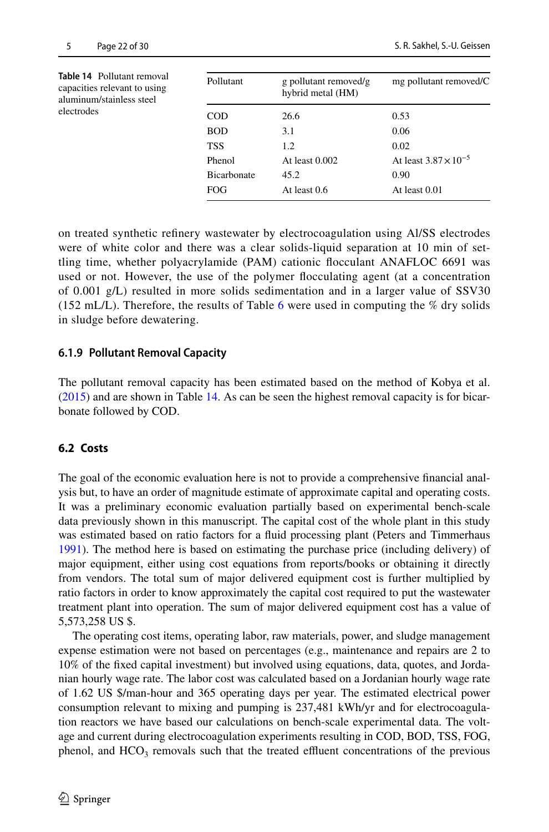<span id="page-21-0"></span>

| Pollutant          | g pollutant removed/g<br>hybrid metal (HM) | mg pollutant removed/C         |
|--------------------|--------------------------------------------|--------------------------------|
| <b>COD</b>         | 26.6                                       | 0.53                           |
| <b>BOD</b>         | 3.1                                        | 0.06                           |
| <b>TSS</b>         | 1.2                                        | 0.02                           |
| Phenol             | At least $0.002$                           | At least $3.87 \times 10^{-5}$ |
| <b>Bicarbonate</b> | 45.2                                       | 0.90                           |
| <b>FOG</b>         | At least 0.6                               | At least 0.01                  |
|                    |                                            |                                |

on treated synthetic refnery wastewater by electrocoagulation using Al/SS electrodes were of white color and there was a clear solids-liquid separation at 10 min of settling time, whether polyacrylamide (PAM) cationic focculant ANAFLOC 6691 was used or not. However, the use of the polymer focculating agent (at a concentration of 0.001 g/L) resulted in more solids sedimentation and in a larger value of SSV30 (152 mL/L). Therefore, the results of Table [6](#page-13-1) were used in computing the  $\%$  dry solids in sludge before dewatering.

#### **6.1.9 Pollutant Removal Capacity**

The pollutant removal capacity has been estimated based on the method of Kobya et al. ([2015\)](#page-27-16) and are shown in Table [14](#page-21-0). As can be seen the highest removal capacity is for bicarbonate followed by COD.

#### **6.2 Costs**

The goal of the economic evaluation here is not to provide a comprehensive fnancial analysis but, to have an order of magnitude estimate of approximate capital and operating costs. It was a preliminary economic evaluation partially based on experimental bench-scale data previously shown in this manuscript. The capital cost of the whole plant in this study was estimated based on ratio factors for a fuid processing plant (Peters and Timmerhaus [1991\)](#page-28-13). The method here is based on estimating the purchase price (including delivery) of major equipment, either using cost equations from reports/books or obtaining it directly from vendors. The total sum of major delivered equipment cost is further multiplied by ratio factors in order to know approximately the capital cost required to put the wastewater treatment plant into operation. The sum of major delivered equipment cost has a value of 5,573,258 US \$.

The operating cost items, operating labor, raw materials, power, and sludge management expense estimation were not based on percentages (e.g., maintenance and repairs are 2 to 10% of the fxed capital investment) but involved using equations, data, quotes, and Jordanian hourly wage rate. The labor cost was calculated based on a Jordanian hourly wage rate of 1.62 US \$/man-hour and 365 operating days per year. The estimated electrical power consumption relevant to mixing and pumping is 237,481 kWh/yr and for electrocoagulation reactors we have based our calculations on bench-scale experimental data. The voltage and current during electrocoagulation experiments resulting in COD, BOD, TSS, FOG, phenol, and  $HCO<sub>3</sub>$  removals such that the treated effluent concentrations of the previous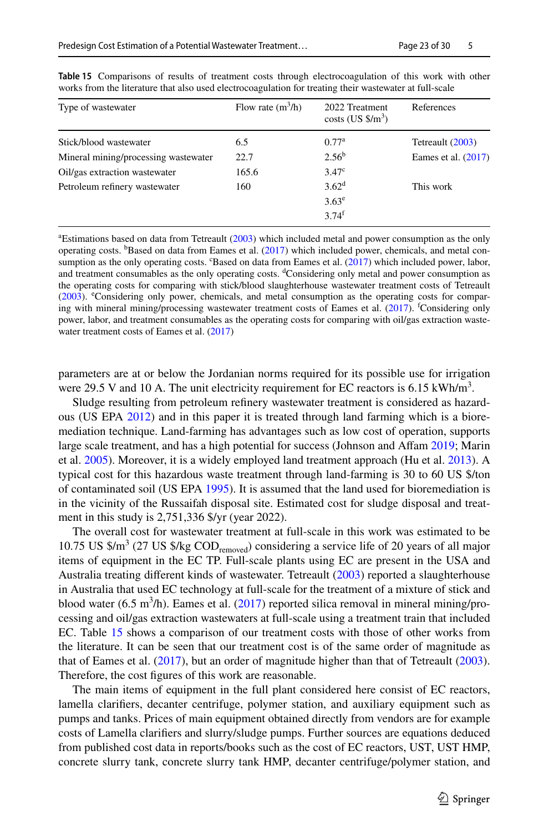| Type of wastewater                   | Flow rate $(m^3/h)$ | 2022 Treatment<br>$costs$ (US $\frac{s}{m^3}$ ) | References          |
|--------------------------------------|---------------------|-------------------------------------------------|---------------------|
| Stick/blood wastewater               | 6.5                 | 0.77 <sup>a</sup>                               | Tetreault (2003)    |
| Mineral mining/processing wastewater | 22.7                | 2.56 <sup>b</sup>                               | Eames et al. (2017) |
| Oil/gas extraction wastewater        | 165.6               | 3.47 <sup>c</sup>                               |                     |
| Petroleum refinery wastewater        | 160                 | $3.62^d$                                        | This work           |
|                                      |                     | $3.63^e$                                        |                     |
|                                      |                     | $3.74^{f}$                                      |                     |

<span id="page-22-0"></span>**Table 15** Comparisons of results of treatment costs through electrocoagulation of this work with other works from the literature that also used electrocoagulation for treating their wastewater at full-scale

a Estimations based on data from Tetreault ([2003\)](#page-28-10) which included metal and power consumption as the only operating costs. <sup>b</sup>Based on data from Eames et al. [\(2017](#page-26-14)) which included power, chemicals, and metal con-sumption as the only operating costs. "Based on data from Eames et al. ([2017\)](#page-26-14) which included power, labor, and treatment consumables as the only operating costs. <sup>d</sup>Considering only metal and power consumption as the operating costs for comparing with stick/blood slaughterhouse wastewater treatment costs of Tetreault [\(2003](#page-28-10)). <sup>e</sup>Considering only power, chemicals, and metal consumption as the operating costs for compar-ing with mineral mining/processing wastewater treatment costs of Eames et al. [\(2017](#page-26-14)). <sup>*t*</sup>Considering only power, labor, and treatment consumables as the operating costs for comparing with oil/gas extraction wastewater treatment costs of Eames et al.  $(2017)$  $(2017)$ 

parameters are at or below the Jordanian norms required for its possible use for irrigation were 29.5 V and 10 A. The unit electricity requirement for EC reactors is  $6.15 \text{ kWh/m}^3$ .

Sludge resulting from petroleum refnery wastewater treatment is considered as hazardous (US EPA [2012\)](#page-29-9) and in this paper it is treated through land farming which is a bioremediation technique. Land-farming has advantages such as low cost of operation, supports large scale treatment, and has a high potential for success (Johnson and Affam [2019](#page-27-17); Marin et al. [2005\)](#page-27-18). Moreover, it is a widely employed land treatment approach (Hu et al. [2013\)](#page-27-19). A typical cost for this hazardous waste treatment through land-farming is 30 to 60 US \$/ton of contaminated soil (US EPA [1995\)](#page-29-10). It is assumed that the land used for bioremediation is in the vicinity of the Russaifah disposal site. Estimated cost for sludge disposal and treatment in this study is 2,751,336 \$/yr (year 2022).

The overall cost for wastewater treatment at full-scale in this work was estimated to be 10.75 US  $\frac{\text{S}}{\text{m}^3}$  (27 US  $\frac{\text{S}}{\text{kg}}$  COD<sub>removed</sub>) considering a service life of 20 years of all major items of equipment in the EC TP. Full-scale plants using EC are present in the USA and Australia treating different kinds of wastewater. Tetreault ([2003\)](#page-28-10) reported a slaughterhouse in Australia that used EC technology at full-scale for the treatment of a mixture of stick and blood water (6.5 m<sup>3</sup>/h). Eames et al. ([2017\)](#page-26-14) reported silica removal in mineral mining/processing and oil/gas extraction wastewaters at full-scale using a treatment train that included EC. Table [15](#page-22-0) shows a comparison of our treatment costs with those of other works from the literature. It can be seen that our treatment cost is of the same order of magnitude as that of Eames et al. [\(2017](#page-26-14)), but an order of magnitude higher than that of Tetreault [\(2003](#page-28-10)). Therefore, the cost fgures of this work are reasonable.

The main items of equipment in the full plant considered here consist of EC reactors, lamella clarifers, decanter centrifuge, polymer station, and auxiliary equipment such as pumps and tanks. Prices of main equipment obtained directly from vendors are for example costs of Lamella clarifers and slurry/sludge pumps. Further sources are equations deduced from published cost data in reports/books such as the cost of EC reactors, UST, UST HMP, concrete slurry tank, concrete slurry tank HMP, decanter centrifuge/polymer station, and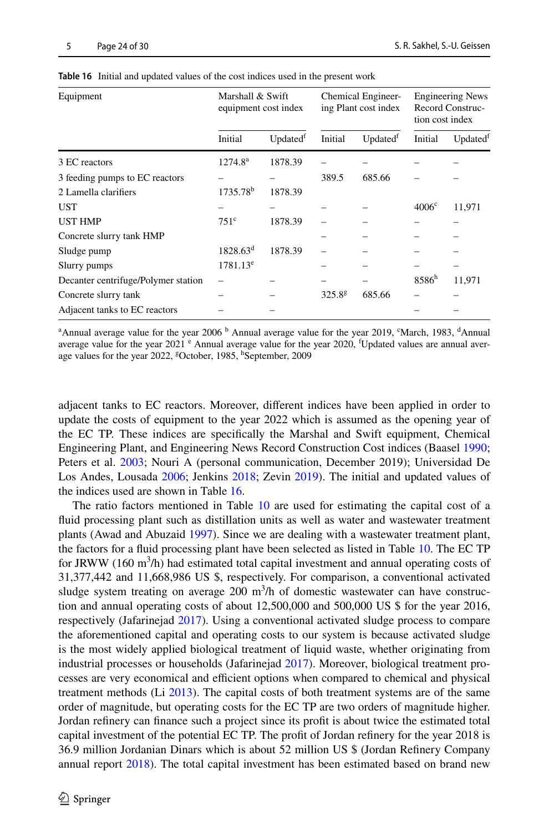| Equipment                           | Marshall & Swift<br>equipment cost index |          |             | Chemical Engineer-<br>ing Plant cost index | tion cost index   | <b>Engineering News</b><br>Record Construc- |
|-------------------------------------|------------------------------------------|----------|-------------|--------------------------------------------|-------------------|---------------------------------------------|
|                                     | Initial                                  | Updatedf | Initial     | Updatedf                                   | Initial           | Updated <sup>t</sup>                        |
| 3 EC reactors                       | $1274.8^{\rm a}$                         | 1878.39  |             |                                            |                   |                                             |
| 3 feeding pumps to EC reactors      |                                          |          | 389.5       | 685.66                                     |                   |                                             |
| 2 Lamella clarifiers                | $1735.78^b$                              | 1878.39  |             |                                            |                   |                                             |
| <b>UST</b>                          |                                          |          |             |                                            | $4006^{\circ}$    | 11,971                                      |
| <b>UST HMP</b>                      | 751 <sup>c</sup>                         | 1878.39  |             |                                            |                   |                                             |
| Concrete slurry tank HMP            |                                          |          |             |                                            |                   |                                             |
| Sludge pump                         | $1828.63^d$                              | 1878.39  |             |                                            |                   |                                             |
| Slurry pumps                        | $1781.13^e$                              |          |             |                                            |                   |                                             |
| Decanter centrifuge/Polymer station |                                          |          |             |                                            | 8586 <sup>h</sup> | 11,971                                      |
| Concrete slurry tank                |                                          |          | $325.8^{g}$ | 685.66                                     |                   |                                             |
| Adjacent tanks to EC reactors       |                                          |          |             |                                            |                   |                                             |

<span id="page-23-0"></span>

| Table 16 Initial and updated values of the cost indices used in the present work |  |  |  |
|----------------------------------------------------------------------------------|--|--|--|
|----------------------------------------------------------------------------------|--|--|--|

<sup>a</sup>Annual average value for the year 2006<sup>b</sup> Annual average value for the year 2019, °March, 1983, <sup>d</sup>Annual average value for the year 2021 <sup>e</sup> Annual average value for the year 2020, <sup>f</sup>Updated values are annual average values for the year 2022, <sup>g</sup>October, 1985, <sup>h</sup>September, 2009

adjacent tanks to EC reactors. Moreover, diferent indices have been applied in order to update the costs of equipment to the year 2022 which is assumed as the opening year of the EC TP. These indices are specifcally the Marshal and Swift equipment, Chemical Engineering Plant, and Engineering News Record Construction Cost indices (Baasel [1990;](#page-25-12) Peters et al. [2003](#page-28-21); Nouri A (personal communication, December 2019); Universidad De Los Andes, Lousada [2006;](#page-29-11) Jenkins [2018;](#page-27-20) Zevin [2019](#page-29-12)). The initial and updated values of the indices used are shown in Table [16.](#page-23-0)

The ratio factors mentioned in Table [10](#page-16-0) are used for estimating the capital cost of a fuid processing plant such as distillation units as well as water and wastewater treatment plants (Awad and Abuzaid [1997](#page-25-13)). Since we are dealing with a wastewater treatment plant, the factors for a fuid processing plant have been selected as listed in Table [10.](#page-16-0) The EC TP for JRWW (160  $\text{m}^3/\text{h}$ ) had estimated total capital investment and annual operating costs of 31,377,442 and 11,668,986 US \$, respectively. For comparison, a conventional activated sludge system treating on average  $200 \text{ m}^3/\text{h}$  of domestic wastewater can have construction and annual operating costs of about 12,500,000 and 500,000 US \$ for the year 2016, respectively (Jafarinejad [2017\)](#page-27-21). Using a conventional activated sludge process to compare the aforementioned capital and operating costs to our system is because activated sludge is the most widely applied biological treatment of liquid waste, whether originating from industrial processes or households (Jafarinejad [2017](#page-27-21)). Moreover, biological treatment processes are very economical and efficient options when compared to chemical and physical treatment methods (Li [2013](#page-27-3)). The capital costs of both treatment systems are of the same order of magnitude, but operating costs for the EC TP are two orders of magnitude higher. Jordan refnery can fnance such a project since its proft is about twice the estimated total capital investment of the potential EC TP. The proft of Jordan refnery for the year 2018 is 36.9 million Jordanian Dinars which is about 52 million US \$ (Jordan Refnery Company annual report [2018](#page-27-22)). The total capital investment has been estimated based on brand new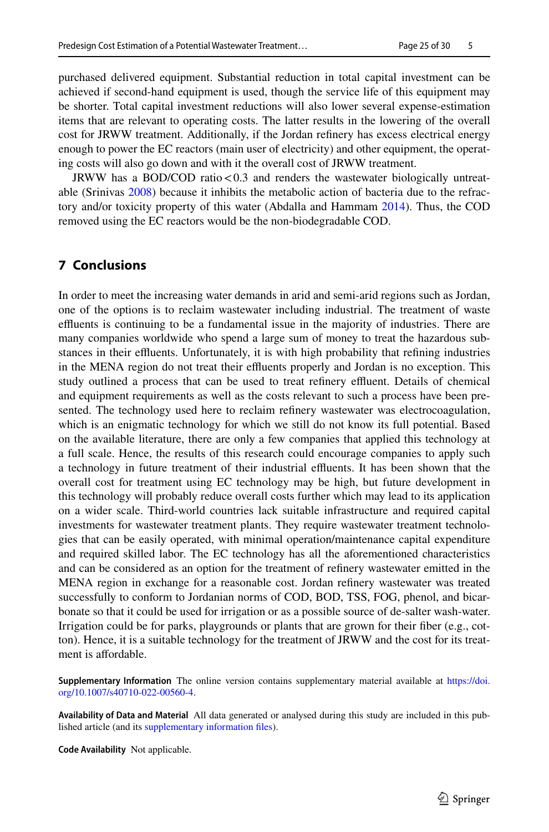purchased delivered equipment. Substantial reduction in total capital investment can be achieved if second-hand equipment is used, though the service life of this equipment may be shorter. Total capital investment reductions will also lower several expense-estimation items that are relevant to operating costs. The latter results in the lowering of the overall cost for JRWW treatment. Additionally, if the Jordan refnery has excess electrical energy enough to power the EC reactors (main user of electricity) and other equipment, the operating costs will also go down and with it the overall cost of JRWW treatment.

JRWW has a BOD/COD ratio<0.3 and renders the wastewater biologically untreatable (Srinivas [2008\)](#page-28-22) because it inhibits the metabolic action of bacteria due to the refractory and/or toxicity property of this water (Abdalla and Hammam [2014\)](#page-25-14). Thus, the COD removed using the EC reactors would be the non-biodegradable COD.

# **7 Conclusions**

In order to meet the increasing water demands in arid and semi-arid regions such as Jordan, one of the options is to reclaim wastewater including industrial. The treatment of waste effluents is continuing to be a fundamental issue in the majority of industries. There are many companies worldwide who spend a large sum of money to treat the hazardous substances in their effluents. Unfortunately, it is with high probability that refining industries in the MENA region do not treat their effluents properly and Jordan is no exception. This study outlined a process that can be used to treat refinery effluent. Details of chemical and equipment requirements as well as the costs relevant to such a process have been presented. The technology used here to reclaim refnery wastewater was electrocoagulation, which is an enigmatic technology for which we still do not know its full potential. Based on the available literature, there are only a few companies that applied this technology at a full scale. Hence, the results of this research could encourage companies to apply such a technology in future treatment of their industrial efuents. It has been shown that the overall cost for treatment using EC technology may be high, but future development in this technology will probably reduce overall costs further which may lead to its application on a wider scale. Third-world countries lack suitable infrastructure and required capital investments for wastewater treatment plants. They require wastewater treatment technologies that can be easily operated, with minimal operation/maintenance capital expenditure and required skilled labor. The EC technology has all the aforementioned characteristics and can be considered as an option for the treatment of refnery wastewater emitted in the MENA region in exchange for a reasonable cost. Jordan refnery wastewater was treated successfully to conform to Jordanian norms of COD, BOD, TSS, FOG, phenol, and bicarbonate so that it could be used for irrigation or as a possible source of de-salter wash-water. Irrigation could be for parks, playgrounds or plants that are grown for their fber (e.g., cotton). Hence, it is a suitable technology for the treatment of JRWW and the cost for its treatment is affordable.

**Supplementary Information** The online version contains supplementary material available at [https://doi.](https://doi.org/10.1007/s40710-022-00560-4) [org/10.1007/s40710-022-00560-4.](https://doi.org/10.1007/s40710-022-00560-4)

**Availability of Data and Material** All data generated or analysed during this study are included in this published article (and its supplementary information fles).

**Code Availability** Not applicable.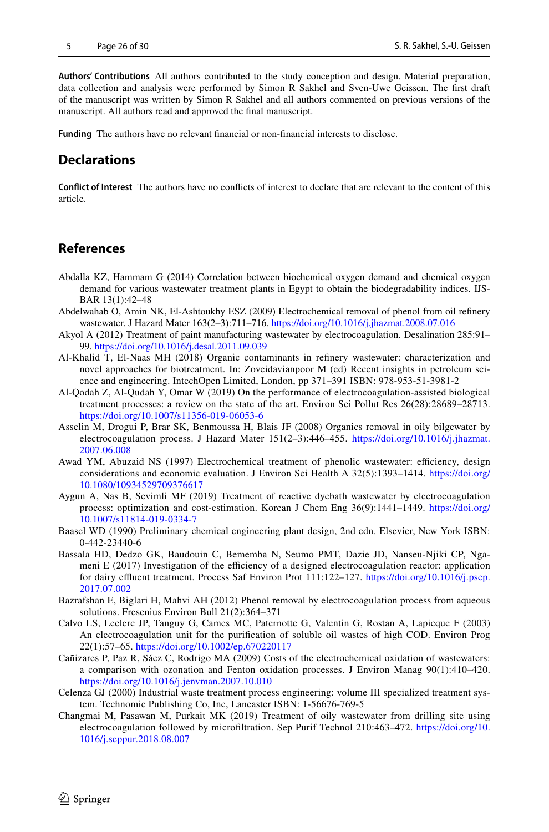**Authors' Contributions** All authors contributed to the study conception and design. Material preparation, data collection and analysis were performed by Simon R Sakhel and Sven-Uwe Geissen. The frst draft of the manuscript was written by Simon R Sakhel and all authors commented on previous versions of the manuscript. All authors read and approved the fnal manuscript.

**Funding** The authors have no relevant fnancial or non-fnancial interests to disclose.

# **Declarations**

**Confict of Interest** The authors have no conficts of interest to declare that are relevant to the content of this article.

## **References**

- <span id="page-25-14"></span>Abdalla KZ, Hammam G (2014) Correlation between biochemical oxygen demand and chemical oxygen demand for various wastewater treatment plants in Egypt to obtain the biodegradability indices. IJS-BAR 13(1):42–48
- <span id="page-25-2"></span>Abdelwahab O, Amin NK, El-Ashtoukhy ESZ (2009) Electrochemical removal of phenol from oil refnery wastewater. J Hazard Mater 163(2–3):711–716.<https://doi.org/10.1016/j.jhazmat.2008.07.016>
- <span id="page-25-5"></span>Akyol A (2012) Treatment of paint manufacturing wastewater by electrocoagulation. Desalination 285:91– 99. <https://doi.org/10.1016/j.desal.2011.09.039>
- <span id="page-25-0"></span>Al-Khalid T, El-Naas MH (2018) Organic contaminants in refnery wastewater: characterization and novel approaches for biotreatment. In: Zoveidavianpoor M (ed) Recent insights in petroleum science and engineering. IntechOpen Limited, London, pp 371–391 ISBN: 978-953-51-3981-2
- <span id="page-25-3"></span>Al-Qodah Z, Al-Qudah Y, Omar W (2019) On the performance of electrocoagulation-assisted biological treatment processes: a review on the state of the art. Environ Sci Pollut Res 26(28):28689–28713. <https://doi.org/10.1007/s11356-019-06053-6>
- <span id="page-25-1"></span>Asselin M, Drogui P, Brar SK, Benmoussa H, Blais JF (2008) Organics removal in oily bilgewater by electrocoagulation process. J Hazard Mater 151(2–3):446–455. [https://doi.org/10.1016/j.jhazmat.](https://doi.org/10.1016/j.jhazmat.2007.06.008) [2007.06.008](https://doi.org/10.1016/j.jhazmat.2007.06.008)
- <span id="page-25-13"></span>Awad YM, Abuzaid NS (1997) Electrochemical treatment of phenolic wastewater: efficiency, design considerations and economic evaluation. J Environ Sci Health A 32(5):1393–1414. [https://doi.org/](https://doi.org/10.1080/10934529709376617) [10.1080/10934529709376617](https://doi.org/10.1080/10934529709376617)
- <span id="page-25-4"></span>Aygun A, Nas B, Sevimli MF (2019) Treatment of reactive dyebath wastewater by electrocoagulation process: optimization and cost-estimation. Korean J Chem Eng 36(9):1441–1449. [https://doi.org/](https://doi.org/10.1007/s11814-019-0334-7) [10.1007/s11814-019-0334-7](https://doi.org/10.1007/s11814-019-0334-7)
- <span id="page-25-12"></span>Baasel WD (1990) Preliminary chemical engineering plant design, 2nd edn. Elsevier, New York ISBN: 0-442-23440-6
- <span id="page-25-6"></span>Bassala HD, Dedzo GK, Baudouin C, Bememba N, Seumo PMT, Dazie JD, Nanseu-Njiki CP, Ngameni E  $(2017)$  Investigation of the efficiency of a designed electrocoagulation reactor: application for dairy effluent treatment. Process Saf Environ Prot 111:122-127. [https://doi.org/10.1016/j.psep.](https://doi.org/10.1016/j.psep.2017.07.002) [2017.07.002](https://doi.org/10.1016/j.psep.2017.07.002)
- <span id="page-25-10"></span>Bazrafshan E, Biglari H, Mahvi AH (2012) Phenol removal by electrocoagulation process from aqueous solutions. Fresenius Environ Bull 21(2):364–371
- <span id="page-25-8"></span>Calvo LS, Leclerc JP, Tanguy G, Cames MC, Paternotte G, Valentin G, Rostan A, Lapicque F (2003) An electrocoagulation unit for the purifcation of soluble oil wastes of high COD. Environ Prog 22(1):57–65. <https://doi.org/10.1002/ep.670220117>
- <span id="page-25-7"></span>Cañizares P, Paz R, Sáez C, Rodrigo MA (2009) Costs of the electrochemical oxidation of wastewaters: a comparison with ozonation and Fenton oxidation processes. J Environ Manag 90(1):410–420. <https://doi.org/10.1016/j.jenvman.2007.10.010>
- <span id="page-25-9"></span>Celenza GJ (2000) Industrial waste treatment process engineering: volume III specialized treatment system. Technomic Publishing Co, Inc, Lancaster ISBN: 1-56676-769-5
- <span id="page-25-11"></span>Changmai M, Pasawan M, Purkait MK (2019) Treatment of oily wastewater from drilling site using electrocoagulation followed by microfltration. Sep Purif Technol 210:463–472. [https://doi.org/10.](https://doi.org/10.1016/j.seppur.2018.08.007) [1016/j.seppur.2018.08.007](https://doi.org/10.1016/j.seppur.2018.08.007)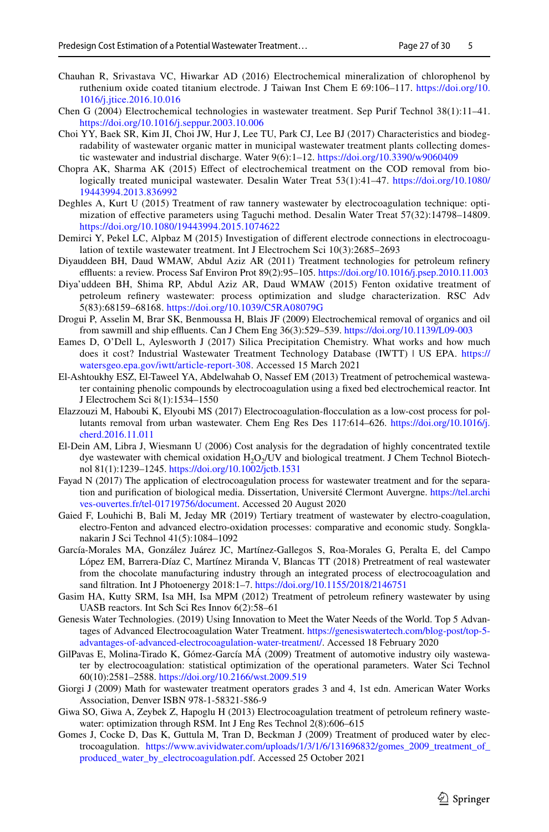- <span id="page-26-11"></span>Chauhan R, Srivastava VC, Hiwarkar AD (2016) Electrochemical mineralization of chlorophenol by ruthenium oxide coated titanium electrode. J Taiwan Inst Chem E 69:106–117. [https://doi.org/10.](https://doi.org/10.1016/j.jtice.2016.10.016) [1016/j.jtice.2016.10.016](https://doi.org/10.1016/j.jtice.2016.10.016)
- <span id="page-26-20"></span>Chen G (2004) Electrochemical technologies in wastewater treatment. Sep Purif Technol 38(1):11–41. <https://doi.org/10.1016/j.seppur.2003.10.006>
- <span id="page-26-5"></span>Choi YY, Baek SR, Kim JI, Choi JW, Hur J, Lee TU, Park CJ, Lee BJ (2017) Characteristics and biodegradability of wastewater organic matter in municipal wastewater treatment plants collecting domestic wastewater and industrial discharge. Water 9(6):1–12.<https://doi.org/10.3390/w9060409>
- <span id="page-26-10"></span>Chopra AK, Sharma AK (2015) Effect of electrochemical treatment on the COD removal from biologically treated municipal wastewater. Desalin Water Treat 53(1):41–47. [https://doi.org/10.1080/](https://doi.org/10.1080/19443994.2013.836992) [19443994.2013.836992](https://doi.org/10.1080/19443994.2013.836992)
- <span id="page-26-9"></span>Deghles A, Kurt U (2015) Treatment of raw tannery wastewater by electrocoagulation technique: optimization of efective parameters using Taguchi method. Desalin Water Treat 57(32):14798–14809. <https://doi.org/10.1080/19443994.2015.1074622>
- <span id="page-26-7"></span>Demirci Y, Pekel LC, Alpbaz M (2015) Investigation of diferent electrode connections in electrocoagulation of textile wastewater treatment. Int J Electrochem Sci 10(3):2685–2693
- <span id="page-26-0"></span>Diyauddeen BH, Daud WMAW, Abdul Aziz AR (2011) Treatment technologies for petroleum refnery effluents: a review. Process Saf Environ Prot 89(2):95-105. <https://doi.org/10.1016/j.psep.2010.11.003>
- <span id="page-26-21"></span>Diya'uddeen BH, Shima RP, Abdul Aziz AR, Daud WMAW (2015) Fenton oxidative treatment of petroleum refnery wastewater: process optimization and sludge characterization. RSC Adv 5(83):68159–68168.<https://doi.org/10.1039/C5RA08079G>
- <span id="page-26-18"></span>Drogui P, Asselin M, Brar SK, Benmoussa H, Blais JF (2009) Electrochemical removal of organics and oil from sawmill and ship effluents. Can J Chem Eng 36(3):529-539. <https://doi.org/10.1139/L09-003>
- <span id="page-26-14"></span>Eames D, O'Dell L, Aylesworth J (2017) Silica Precipitation Chemistry. What works and how much does it cost? Industrial Wastewater Treatment Technology Database (IWTT) | US EPA. [https://](https://watersgeo.epa.gov/iwtt/article-report-308) [watersgeo.epa.gov/iwtt/article-report-308](https://watersgeo.epa.gov/iwtt/article-report-308). Accessed 15 March 2021
- <span id="page-26-4"></span>El-Ashtoukhy ESZ, El-Taweel YA, Abdelwahab O, Nassef EM (2013) Treatment of petrochemical wastewater containing phenolic compounds by electrocoagulation using a fxed bed electrochemical reactor. Int J Electrochem Sci 8(1):1534–1550
- <span id="page-26-8"></span>Elazzouzi M, Haboubi K, Elyoubi MS (2017) Electrocoagulation-focculation as a low-cost process for pollutants removal from urban wastewater. Chem Eng Res Des 117:614–626. [https://doi.org/10.1016/j.](https://doi.org/10.1016/j.cherd.2016.11.011) [cherd.2016.11.011](https://doi.org/10.1016/j.cherd.2016.11.011)
- <span id="page-26-12"></span>El-Dein AM, Libra J, Wiesmann U (2006) Cost analysis for the degradation of highly concentrated textile dye wastewater with chemical oxidation  $H_2O_2/UV$  and biological treatment. J Chem Technol Biotechnol 81(1):1239–1245. <https://doi.org/10.1002/jctb.1531>
- <span id="page-26-2"></span>Fayad N (2017) The application of electrocoagulation process for wastewater treatment and for the separation and purifcation of biological media. Dissertation, Université Clermont Auvergne. [https://tel.archi](https://tel.archives-ouvertes.fr/tel-01719756/document) [ves-ouvertes.fr/tel-01719756/document](https://tel.archives-ouvertes.fr/tel-01719756/document). Accessed 20 August 2020
- <span id="page-26-13"></span>Gaied F, Louhichi B, Bali M, Jeday MR (2019) Tertiary treatment of wastewater by electro-coagulation, electro-Fenton and advanced electro-oxidation processes: comparative and economic study. Songklanakarin J Sci Technol 41(5):1084–1092
- <span id="page-26-1"></span>García-Morales MA, González Juárez JC, Martínez-Gallegos S, Roa-Morales G, Peralta E, del Campo López EM, Barrera-Díaz C, Martínez Miranda V, Blancas TT (2018) Pretreatment of real wastewater from the chocolate manufacturing industry through an integrated process of electrocoagulation and sand fltration. Int J Photoenergy 2018:1–7.<https://doi.org/10.1155/2018/2146751>
- <span id="page-26-3"></span>Gasim HA, Kutty SRM, Isa MH, Isa MPM (2012) Treatment of petroleum refnery wastewater by using UASB reactors. Int Sch Sci Res Innov 6(2):58–61
- <span id="page-26-15"></span>Genesis Water Technologies. (2019) Using Innovation to Meet the Water Needs of the World. Top 5 Advantages of Advanced Electrocoagulation Water Treatment. [https://genesiswatertech.com/blog-post/top-5](https://genesiswatertech.com/blog-post/top-5-advantages-of-advanced-electrocoagulation-water-treatment/) [advantages-of-advanced-electrocoagulation-water-treatment/.](https://genesiswatertech.com/blog-post/top-5-advantages-of-advanced-electrocoagulation-water-treatment/) Accessed 18 February 2020
- <span id="page-26-17"></span>GilPavas E, Molina-Tirado K, Gómez-García MÁ (2009) Treatment of automotive industry oily wastewater by electrocoagulation: statistical optimization of the operational parameters. Water Sci Technol 60(10):2581–2588.<https://doi.org/10.2166/wst.2009.519>
- <span id="page-26-16"></span>Giorgi J (2009) Math for wastewater treatment operators grades 3 and 4, 1st edn. American Water Works Association, Denver ISBN 978-1-58321-586-9
- <span id="page-26-6"></span>Giwa SO, Giwa A, Zeybek Z, Hapoglu H (2013) Electrocoagulation treatment of petroleum refnery wastewater: optimization through RSM. Int J Eng Res Technol 2(8):606–615
- <span id="page-26-19"></span>Gomes J, Cocke D, Das K, Guttula M, Tran D, Beckman J (2009) Treatment of produced water by electrocoagulation. [https://www.avividwater.com/uploads/1/3/1/6/131696832/gomes\\_2009\\_treatment\\_of\\_](https://www.avividwater.com/uploads/1/3/1/6/131696832/gomes_2009_treatment_of_produced_water_by_electrocoagulation.pdf) [produced\\_water\\_by\\_electrocoagulation.pdf.](https://www.avividwater.com/uploads/1/3/1/6/131696832/gomes_2009_treatment_of_produced_water_by_electrocoagulation.pdf) Accessed 25 October 2021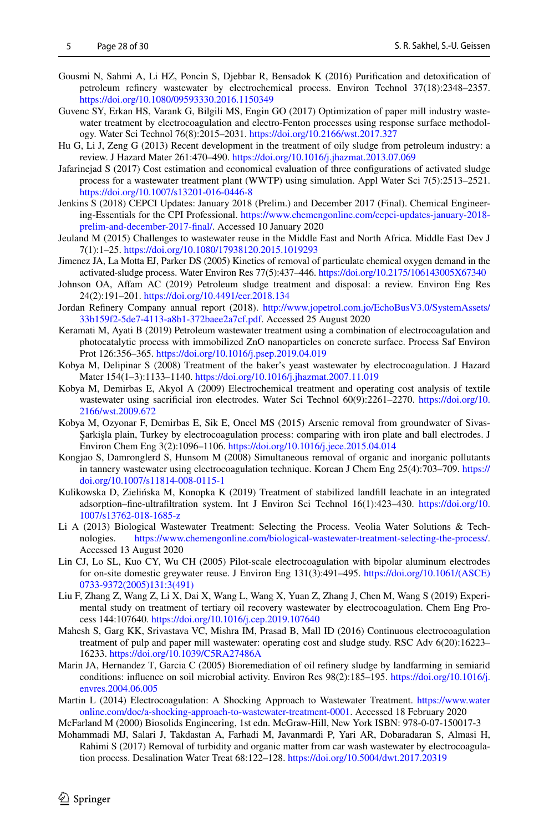- <span id="page-27-14"></span>Gousmi N, Sahmi A, Li HZ, Poncin S, Djebbar R, Bensadok K (2016) Purifcation and detoxifcation of petroleum refnery wastewater by electrochemical process. Environ Technol 37(18):2348–2357. <https://doi.org/10.1080/09593330.2016.1150349>
- <span id="page-27-8"></span>Guvenc SY, Erkan HS, Varank G, Bilgili MS, Engin GO (2017) Optimization of paper mill industry wastewater treatment by electrocoagulation and electro-Fenton processes using response surface methodology. Water Sci Technol 76(8):2015–2031. <https://doi.org/10.2166/wst.2017.327>
- <span id="page-27-19"></span>Hu G, Li J, Zeng G (2013) Recent development in the treatment of oily sludge from petroleum industry: a review. J Hazard Mater 261:470–490.<https://doi.org/10.1016/j.jhazmat.2013.07.069>
- <span id="page-27-21"></span>Jafarinejad S (2017) Cost estimation and economical evaluation of three confgurations of activated sludge process for a wastewater treatment plant (WWTP) using simulation. Appl Water Sci 7(5):2513–2521. <https://doi.org/10.1007/s13201-016-0446-8>
- <span id="page-27-20"></span>Jenkins S (2018) CEPCI Updates: January 2018 (Prelim.) and December 2017 (Final). Chemical Engineering-Essentials for the CPI Professional. [https://www.chemengonline.com/cepci-updates-january-2018](https://www.chemengonline.com/cepci-updates-january-2018-prelim-and-december-2017-final/) [prelim-and-december-2017-fnal/](https://www.chemengonline.com/cepci-updates-january-2018-prelim-and-december-2017-final/). Accessed 10 January 2020
- <span id="page-27-0"></span>Jeuland M (2015) Challenges to wastewater reuse in the Middle East and North Africa. Middle East Dev J 7(1):1–25.<https://doi.org/10.1080/17938120.2015.1019293>
- <span id="page-27-1"></span>Jimenez JA, La Motta EJ, Parker DS (2005) Kinetics of removal of particulate chemical oxygen demand in the activated-sludge process. Water Environ Res 77(5):437–446.<https://doi.org/10.2175/106143005X67340>
- <span id="page-27-17"></span>Johnson OA, Afam AC (2019) Petroleum sludge treatment and disposal: a review. Environ Eng Res 24(2):191–201.<https://doi.org/10.4491/eer.2018.134>
- <span id="page-27-22"></span>Jordan Refnery Company annual report (2018). [http://www.jopetrol.com.jo/EchoBusV3.0/SystemAssets/](http://www.jopetrol.com.jo/EchoBusV3.0/SystemAssets/33b159f2-5de7-4113-a8b1-372baee2a7cf.pdf) [33b159f2-5de7-4113-a8b1-372baee2a7cf.pdf](http://www.jopetrol.com.jo/EchoBusV3.0/SystemAssets/33b159f2-5de7-4113-a8b1-372baee2a7cf.pdf). Accessed 25 August 2020
- <span id="page-27-2"></span>Keramati M, Ayati B (2019) Petroleum wastewater treatment using a combination of electrocoagulation and photocatalytic process with immobilized ZnO nanoparticles on concrete surface. Process Saf Environ Prot 126:356–365.<https://doi.org/10.1016/j.psep.2019.04.019>
- <span id="page-27-10"></span>Kobya M, Delipinar S (2008) Treatment of the baker's yeast wastewater by electrocoagulation. J Hazard Mater 154(1–3):1133–1140.<https://doi.org/10.1016/j.jhazmat.2007.11.019>
- <span id="page-27-5"></span>Kobya M, Demirbas E, Akyol A (2009) Electrochemical treatment and operating cost analysis of textile wastewater using sacrificial iron electrodes. Water Sci Technol 60(9):2261-2270. [https://doi.org/10.](https://doi.org/10.2166/wst.2009.672) [2166/wst.2009.672](https://doi.org/10.2166/wst.2009.672)
- <span id="page-27-16"></span>Kobya M, Ozyonar F, Demirbas E, Sik E, Oncel MS (2015) Arsenic removal from groundwater of Sivas-Şarkişla plain, Turkey by electrocoagulation process: comparing with iron plate and ball electrodes. J Environ Chem Eng 3(2):1096–1106. <https://doi.org/10.1016/j.jece.2015.04.014>
- <span id="page-27-9"></span>Kongjao S, Damronglerd S, Hunsom M (2008) Simultaneous removal of organic and inorganic pollutants in tannery wastewater using electrocoagulation technique. Korean J Chem Eng 25(4):703–709. [https://](https://doi.org/10.1007/s11814-008-0115-1) [doi.org/10.1007/s11814-008-0115-1](https://doi.org/10.1007/s11814-008-0115-1)
- <span id="page-27-4"></span>Kulikowska D, Zielińska M, Konopka K (2019) Treatment of stabilized landfll leachate in an integrated adsorption–fne-ultrafltration system. Int J Environ Sci Technol 16(1):423–430. [https://doi.org/10.](https://doi.org/10.1007/s13762-018-1685-z) [1007/s13762-018-1685-z](https://doi.org/10.1007/s13762-018-1685-z)
- <span id="page-27-3"></span>Li A (2013) Biological Wastewater Treatment: Selecting the Process. Veolia Water Solutions & Technologies. [https://www.chemengonline.com/biological-wastewater-treatment-selecting-the-process/.](https://www.chemengonline.com/biological-wastewater-treatment-selecting-the-process/) Accessed 13 August 2020
- <span id="page-27-11"></span>Lin CJ, Lo SL, Kuo CY, Wu CH (2005) Pilot-scale electrocoagulation with bipolar aluminum electrodes for on-site domestic greywater reuse. J Environ Eng 131(3):491–495. [https://doi.org/10.1061/\(ASCE\)](https://doi.org/10.1061/(ASCE)0733-9372(2005)131:3(491)) [0733-9372\(2005\)131:3\(491\)](https://doi.org/10.1061/(ASCE)0733-9372(2005)131:3(491))
- <span id="page-27-15"></span>Liu F, Zhang Z, Wang Z, Li X, Dai X, Wang L, Wang X, Yuan Z, Zhang J, Chen M, Wang S (2019) Experimental study on treatment of tertiary oil recovery wastewater by electrocoagulation. Chem Eng Process 144:107640.<https://doi.org/10.1016/j.cep.2019.107640>
- <span id="page-27-6"></span>Mahesh S, Garg KK, Srivastava VC, Mishra IM, Prasad B, Mall ID (2016) Continuous electrocoagulation treatment of pulp and paper mill wastewater: operating cost and sludge study. RSC Adv 6(20):16223– 16233. <https://doi.org/10.1039/C5RA27486A>
- <span id="page-27-18"></span>Marin JA, Hernandez T, Garcia C (2005) Bioremediation of oil refnery sludge by landfarming in semiarid conditions: infuence on soil microbial activity. Environ Res 98(2):185–195. [https://doi.org/10.1016/j.](https://doi.org/10.1016/j.envres.2004.06.005) [envres.2004.06.005](https://doi.org/10.1016/j.envres.2004.06.005)
- <span id="page-27-12"></span>Martin L (2014) Electrocoagulation: A Shocking Approach to Wastewater Treatment. [https://www.water](https://www.wateronline.com/doc/a-shocking-approach-to-wastewater-treatment-0001) [online.com/doc/a-shocking-approach-to-wastewater-treatment-0001](https://www.wateronline.com/doc/a-shocking-approach-to-wastewater-treatment-0001). Accessed 18 February 2020

<span id="page-27-13"></span>McFarland M (2000) Biosolids Engineering, 1st edn. McGraw-Hill, New York ISBN: 978-0-07-150017-3

<span id="page-27-7"></span>Mohammadi MJ, Salari J, Takdastan A, Farhadi M, Javanmardi P, Yari AR, Dobaradaran S, Almasi H, Rahimi S (2017) Removal of turbidity and organic matter from car wash wastewater by electrocoagulation process. Desalination Water Treat 68:122–128. <https://doi.org/10.5004/dwt.2017.20319>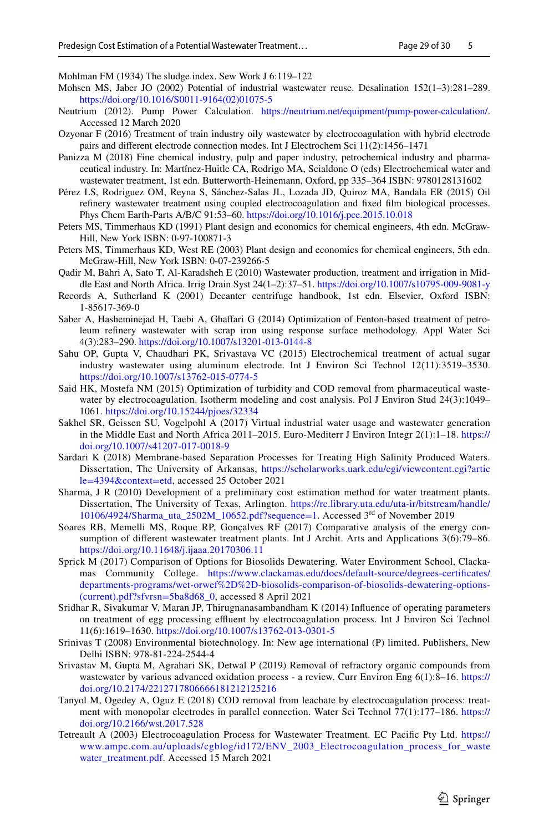<span id="page-28-20"></span>Mohlman FM (1934) The sludge index. Sew Work J 6:119–122

- <span id="page-28-1"></span>Mohsen MS, Jaber JO (2002) Potential of industrial wastewater reuse. Desalination 152(1–3):281–289. [https://doi.org/10.1016/S0011-9164\(02\)01075-5](https://doi.org/10.1016/S0011-9164(02)01075-5)
- <span id="page-28-14"></span>Neutrium (2012). Pump Power Calculation. [https://neutrium.net/equipment/pump-power-calculation/.](https://neutrium.net/equipment/pump-power-calculation/) Accessed 12 March 2020
- <span id="page-28-18"></span>Ozyonar F (2016) Treatment of train industry oily wastewater by electrocoagulation with hybrid electrode pairs and diferent electrode connection modes. Int J Electrochem Sci 11(2):1456–1471
- <span id="page-28-4"></span>Panizza M (2018) Fine chemical industry, pulp and paper industry, petrochemical industry and pharmaceutical industry. In: Martínez-Huitle CA, Rodrigo MA, Scialdone O (eds) Electrochemical water and wastewater treatment, 1st edn. Butterworth-Heinemann, Oxford, pp 335–364 ISBN: 9780128131602
- <span id="page-28-5"></span>Pérez LS, Rodriguez OM, Reyna S, Sánchez-Salas JL, Lozada JD, Quiroz MA, Bandala ER (2015) Oil refnery wastewater treatment using coupled electrocoagulation and fxed flm biological processes. Phys Chem Earth-Parts A/B/C 91:53–60. <https://doi.org/10.1016/j.pce.2015.10.018>
- <span id="page-28-13"></span>Peters MS, Timmerhaus KD (1991) Plant design and economics for chemical engineers, 4th edn. McGraw-Hill, New York ISBN: 0-97-100871-3
- <span id="page-28-21"></span>Peters MS, Timmerhaus KD, West RE (2003) Plant design and economics for chemical engineers, 5th edn. McGraw-Hill, New York ISBN: 0-07-239266-5
- <span id="page-28-0"></span>Qadir M, Bahri A, Sato T, Al-Karadsheh E (2010) Wastewater production, treatment and irrigation in Middle East and North Africa. Irrig Drain Syst 24(1–2):37–51.<https://doi.org/10.1007/s10795-009-9081-y>
- <span id="page-28-12"></span>Records A, Sutherland K (2001) Decanter centrifuge handbook, 1st edn. Elsevier, Oxford ISBN: 1-85617-369-0
- <span id="page-28-3"></span>Saber A, Hasheminejad H, Taebi A, Ghaffari G (2014) Optimization of Fenton-based treatment of petroleum refnery wastewater with scrap iron using response surface methodology. Appl Water Sci 4(3):283–290.<https://doi.org/10.1007/s13201-013-0144-8>
- <span id="page-28-9"></span>Sahu OP, Gupta V, Chaudhari PK, Srivastava VC (2015) Electrochemical treatment of actual sugar industry wastewater using aluminum electrode. Int J Environ Sci Technol 12(11):3519–3530. <https://doi.org/10.1007/s13762-015-0774-5>
- <span id="page-28-7"></span>Said HK, Mostefa NM (2015) Optimization of turbidity and COD removal from pharmaceutical wastewater by electrocoagulation. Isotherm modeling and cost analysis. Pol J Environ Stud 24(3):1049– 1061.<https://doi.org/10.15244/pjoes/32334>
- <span id="page-28-2"></span>Sakhel SR, Geissen SU, Vogelpohl A (2017) Virtual industrial water usage and wastewater generation in the Middle East and North Africa 2011–2015. Euro-Mediterr J Environ Integr 2(1):1–18. [https://](https://doi.org/10.1007/s41207-017-0018-9) [doi.org/10.1007/s41207-017-0018-9](https://doi.org/10.1007/s41207-017-0018-9)
- <span id="page-28-19"></span>Sardari K (2018) Membrane-based Separation Processes for Treating High Salinity Produced Waters. Dissertation, The University of Arkansas, [https://scholarworks.uark.edu/cgi/viewcontent.cgi?artic](https://scholarworks.uark.edu/cgi/viewcontent.cgi?article=4394&context=etd) [le=4394&context=etd,](https://scholarworks.uark.edu/cgi/viewcontent.cgi?article=4394&context=etd) accessed 25 October 2021
- <span id="page-28-11"></span>Sharma, J R (2010) Development of a preliminary cost estimation method for water treatment plants. Dissertation, The University of Texas, Arlington. [https://rc.library.uta.edu/uta-ir/bitstream/handle/](https://rc.library.uta.edu/uta-ir/bitstream/handle/10106/4924/Sharma_uta_2502M_10652.pdf?sequence=1) [10106/4924/Sharma\\_uta\\_2502M\\_10652.pdf?sequence=1](https://rc.library.uta.edu/uta-ir/bitstream/handle/10106/4924/Sharma_uta_2502M_10652.pdf?sequence=1). Accessed 3rd of November 2019
- <span id="page-28-16"></span>Soares RB, Memelli MS, Roque RP, Gonçalves RF (2017) Comparative analysis of the energy consumption of diferent wastewater treatment plants. Int J Archit. Arts and Applications 3(6):79–86. <https://doi.org/10.11648/j.ijaaa.20170306.11>
- <span id="page-28-15"></span>Sprick M (2017) Comparison of Options for Biosolids Dewatering. Water Environment School, Clackamas Community College. [https://www.clackamas.edu/docs/default-source/degrees-certifcates/](https://www.clackamas.edu/docs/default-source/degrees-certificates/departments-programs/wet-orwef%2D%2D-biosolids-comparison-of-biosolids-dewatering-options-(current).pdf?sfvrsn=5ba8d68_0) [departments-programs/wet-orwef%2D%2D-biosolids-comparison-of-biosolids-dewatering-options-](https://www.clackamas.edu/docs/default-source/degrees-certificates/departments-programs/wet-orwef%2D%2D-biosolids-comparison-of-biosolids-dewatering-options-(current).pdf?sfvrsn=5ba8d68_0) [\(current\).pdf?sfvrsn=5ba8d68\\_0](https://www.clackamas.edu/docs/default-source/degrees-certificates/departments-programs/wet-orwef%2D%2D-biosolids-comparison-of-biosolids-dewatering-options-(current).pdf?sfvrsn=5ba8d68_0), accessed 8 April 2021
- <span id="page-28-8"></span>Sridhar R, Sivakumar V, Maran JP, Thirugnanasambandham K (2014) Infuence of operating parameters on treatment of egg processing efuent by electrocoagulation process. Int J Environ Sci Technol 11(6):1619–1630.<https://doi.org/10.1007/s13762-013-0301-5>
- <span id="page-28-22"></span>Srinivas T (2008) Environmental biotechnology. In: New age international (P) limited. Publishers, New Delhi ISBN: 978-81-224-2544-4
- <span id="page-28-6"></span>Srivastav M, Gupta M, Agrahari SK, Detwal P (2019) Removal of refractory organic compounds from wastewater by various advanced oxidation process - a review. Curr Environ Eng 6(1):8–16. [https://](https://doi.org/10.2174/2212717806666181212125216) [doi.org/10.2174/2212717806666181212125216](https://doi.org/10.2174/2212717806666181212125216)
- <span id="page-28-17"></span>Tanyol M, Ogedey A, Oguz E (2018) COD removal from leachate by electrocoagulation process: treatment with monopolar electrodes in parallel connection. Water Sci Technol 77(1):177–186. [https://](https://doi.org/10.2166/wst.2017.528) [doi.org/10.2166/wst.2017.528](https://doi.org/10.2166/wst.2017.528)
- <span id="page-28-10"></span>Tetreault A (2003) Electrocoagulation Process for Wastewater Treatment. EC Pacifc Pty Ltd. [https://](https://www.ampc.com.au/uploads/cgblog/id172/ENV_2003_Electrocoagulation_process_for_wastewater_treatment.pdf) [www.ampc.com.au/uploads/cgblog/id172/ENV\\_2003\\_Electrocoagulation\\_process\\_for\\_waste](https://www.ampc.com.au/uploads/cgblog/id172/ENV_2003_Electrocoagulation_process_for_wastewater_treatment.pdf) [water\\_treatment.pdf](https://www.ampc.com.au/uploads/cgblog/id172/ENV_2003_Electrocoagulation_process_for_wastewater_treatment.pdf). Accessed 15 March 2021